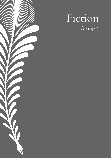# $\blacktriangledown$  $\overline{P}$

# Fiction Group 4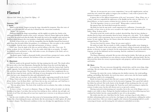# **Flamed**

*Diocesan Girls' School, Fu, Cheuk Yiu Tiffany - 15*

### **Summer, 1900**

### **I. Ignite**

Hand on the mosaic, fingers tracing the rings, shrouded by turquoise. Hear the voice of nature as it calls upon the soil and clay to blend into the concoction seamlessly.

"Home," she exclaims.

Darkness engulfs the dingy surroundings, and the nightly air strokes her cheeks as she rummages through the remains of the cavern, and grins, relieved. Flames light up the shallow scene from the small torch that she holds. She points the torch at the upright center and sees the Buddha's statue sitting in the exact position, comfortably enrobed in a vibrant shade of red.

To look at him in the eye, to feel the tranquillity that the Buddha himself has bestowed upon those that devoutly follow his guidance, is a relishing act. Her eyes glow as she confides in his majesty. And she utters a deep sigh and murmurs, in silence, a prayer:

*I have come. From the depths of the deep seas and the brilliance of the skies, I have come. To avenge, to obtain, the lost, the forgotten. To serve the erudite which lodge in our paradise. To comfort the awakened scrolls and fantasies, so they shall endure no more, the disruptions of the Earth, and rest, undisturbed by passers-by, in peace.* 

The flames ignite, bright as diamonds freshly extracted from a prospector's mine, and the complex is now warm, animated, the liveliness of the cave restored once more.

### **II. Illuminate**

And she stands on the ground, barefoot, the legs seeping into the sand. The clouds soften her green robe as her hair illuminates, flaring like the flames from the torch that lights up the cracks on her cane, yet they are no match for the cruelty of the dry, barren land. And he stands, opposite, his lustrous brows raising, and the forehead crumples, boiled and darkened, like medicine that gets bitter. The long, piled-up streaks of silvery hair complement the seablue silk that wraps his body, and the cold drops of sweat drooping on his shaven face are the tears that have once dampened his skin and replenished his soul.

"Child, why are you here, in the middle of the night, engrossing yourself in the desert?"

*Wang, I know who you are, and in my most innocent dreams, I have witnessed the sly movements of your shadow. I saw the flames flicker - and I knew that one day, you would come, and I shall have to conceal the knowledge that the treasures of this very cave have of the world.* 

 "Shi-tan, please listen. The fruit of the world lies not in seclusion, but, rather, in sharing and endless inquiry."

*To share is to burn. To conceal is to illuminate. Wang, oh, Wang, I will not be fooled - for with the twitching of my fingers I can deduce that you have been tracking me down, endlessly, day and night, and the trails of coal I have left along with me must have inspired you to intervene in my daily preservation of the grotto.* 

See the eerie twinkles of the stars that seem to be harmonizing with the roaring of the flames, like a lion shaking his mane, and shriek, like the mirroring of a child's ghost, all veiled by nature's despair. The fabricated confidence in her eyes divulges her apprehension, her fear.

*It appears that we have different interpretations of the word "preservation", Wang. Wang, you, as a Taoist, could never comprehend the righteousness of the Buddha and the riches he confers on us. As flawed followers, we learn to practice revelation but not to disclose his secrets recklessly.* 

"As if the legendary cavern is a secret itself?" Wang makes a satirical remark.

She ignores him, her head tilted towards the entrance.

*My family has kept the map inside a small compartment for a millennium. Generation after generation, we have sworn on our lives not to succumb to the complex or revive the out-moded art. It stays hidden, Wang. It always will be.*

The priest recites the words with his crooked, shriveled lips. Beat by beat, rhythm to rhythm does he listen and remember them by heart, letting out a vile smile, "To be obliged to your family's will is merriment, but to secrete the truth out of selfishness will only bring karma. So stay vigilant, Shi-tan, for I know where the entrance lies since you have just emerged from it." He chuckles.

*You may have found the entrance, Wang, but you cannot exploit it.* 

He makes no reply. Shi-tan stands as a fully-composed Wang ambles away, limping in the process. The flames in the torch radiate, and the whole ceiling of animals and small dots gleams, in ferocity, in anger, in hatred, for she understands that Wang was not deceitful in his response, yet she has fathomed out his reasoning. And she condemns it and demeans it.

*It shall not happen.* 

The flames illuminate and guide Shi-tan into relieving her doubts. She looks up onto the night air, and the constellations are now delicate swarms of fireflies, glowing faintly. She has discovered her desire for victory in protecting her only property, and she beams, determined and fearless.

### **III. Burn**

It is morning. The sun coruscates through the celestial skies, and the sweat drips, drips, and drips. Shi-tan washes them away while bundling up her hair with a piece of smeared, stained cloth.

Yearning, she enters the cavern, dashing into the shallow interior, the winds puffing, puffing, and puffing. But luckily, the torch stays intact, and in turn, the fire burns rapidly, intensifying, unable to be extinguished.

Barely six hours have passed after Shi-tan's counter with Wang, the old rural priest who always makes an effort to deceive by his decorative language. Not a good lad, indeed, her father has advised. Her teeth chatter at the thought of him sneaking into the cave and claiming all of the catches. Interestingly, the Taoist has used valid reasoning to explain his actions; it makes sense, but she still chooses not to accept such a notion.

Sharing is pivotal in determining one's morality, but in the case of the Mogao caves, it simply is not viable to share. Perhaps the familial traditions she has been following may have confined her beliefs, but she cannot possibly be sure of it as she ponders.

She strides into the cave. And there lies the Taoist, carrying a bag of calico fabric, a devilish, infuriating smile sewn on his face, his fingers on the parchment, rubbing the surface with so much force. Her eyes widen in appall as she witnesses him grasping hold of a scroll, extracting its beauty, and devouring the rich unknown embedded on its skin.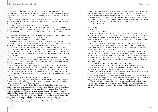Her eyes burn, the fury inflaming, fierce as an emperor rapaciously ordering the beheading of his disloyal servant. The prophecy she had devised in her dreams when she was a wee toddler is becoming true at that instant, and so are the rest of the thoughts she has had in mind.

*Thief - hands off the manuscripts! Let them lay on the ground, and let them rest. It was fate that our ancestors abandoned the art, and as its guardian and a hero, I must play a part in this play and cast you away from this defunct luxury.* 

*No - how dare you place your hand on the eye of the Buddha -* 

" - And you call yourself a hero. For centuries this library of mystery, the door that would uncover the secrets of your own blood, your own history, has been hidden, buried, and vanished from all of China. And yet you fail to recognize the significance of unveiling it.

"If you were the guardian of this cave, you would have gladly left it upon your discovery and kept it untouched for years, but you still come back every day.

"For what, child? What desire do you plan to fulfill?"

*To avenge my family. To carry on the mission that my deceased ancestors have spent their lives fulfilling. Their bodies lie under the sand of this very cave, intricate as it seems, but I will not let you, nor anyone else, not even the English investigators, enter what rightfully belongs to me.* 

"Aha! A selfish soul avenges itself, and you are no exception. And one day, we shall call you Shi-tan, the Buddhist that capitulates to the roots of evil that linger in her twisted malice." He switches to a milder, more lenient tone. "Child, I have kept my eye on you, and here I plead for you to tamper with your folly. Re-interpret your selfishness, and let the adults handle the work."

The cave feels damp as if it is raining. The turquoise of the walls turns grey, and the teardrops ricochet as Shi-tan enlarges her eyes in disbelief. She startles the statue, the figure she has been worshipping piously, and the clay on the already half-demolished wall dissolves from its ornamented coating. It crumbles.

The interior is monotonous, dull, shrouded by soot, and Shi-tan simmers and squeals, crying out from her heart, shredded into fragments. She broods over the words of the old priest, which abruptly shatters the image in front of her, the self-image that she is keen to retain. She has fallen prey to his deceit, and her mind explodes in a frenzy as she sobs and pants, running out of time to deliberate: How is an uneducated priest so all-knowing? Is he a prophet? What is he?

She yells and screeches, and the thoughts cease to circulate.

*But selfishness will not stop me from taking care of what is mine. And your words do not stop me from controlling what I rightfully own. Only I should be able to access this marvel, for I am the blood of the first guardian of this very cave! Leave, now, leave!*

The torch, it burns, the fire ablaze. Shi-tan snatches the bundle away and tosses the crimson spear towards the unarmed soldier, the unarmed foe. Her eyes show no sympathy as she pleases herself with the colossal burning of the fires. The flaxen bag drops from Wang's shoulder, and its exterior falls apart before the manuscripts gain a tint of coal, extinguished within the blink of an eye. He ensconces himself onto the ground, as the scrolls exist no more.

Wang stands on the floor, his worn-out robe slightly burnt, but he grins, "By avenging your hatred, you have destroyed what you have desperately yearned to defend."

She stops moving. Her eyes soften, and time freezes, shrinking into the frame of a waxed stamp. The aggravating sense of guilt permeates her heart. Overwhelmed by an inundating

amount of wet tears, she falters and escapes from the massive treasures, now carcasses. She leaves the torch, still burning and luminous, and bolts out of the cavern, sniveling as she becomes aghast by the terror she has inflicted on the place she has once called "home".

Flames, they burn and bellow; even with the Taoist's water supply the well, they will never wither, as long as the ferocity is still prevailing. And as Shi-tan realizes that her battle would end in defeat, she flees into the unknown - a decision made on a whim.

She sighs, repenting.

### **Summer, 1908.**

### **IV. Extinguish**

"Cave 17, the Library Cave"

Hand on the statue, fingers tracing the patterns on the altar, shrouded by a fresh cover of oil. She is delighted as she finds the turquoise soil and clay enlivened, revitalized by the sunning from the scholarly investigators of ancient Asian art. All seems tranquil, including Shi-tan herself, who tries to immerse herself into the vibrancy of the complex during this secret but unexpected visit.

Covering her whole body with a black velvet piece of cloth, Shi-tan picks up the torch with the hand on her right, now extinguished, perpetually. Her mind runs through the former power and glory of the torch, which has almost burnt down and demolished the massive rediscovery of this eternal paradise.

The sun rays brighten the sacred surroundings, and the winds from the past stroke her face. She can immediately interpret the omen - the excavations have freed the caverns. She kneels in front of the altar, imploring a halt in the sufferings of the once impulsive adolescent. To fearfully stare at his presence, to feel the daunting intimidation of the twinkle of the Taoist that lies in the statue's tinted eye, makes her agitated, restless. She spots a label stuck underneath the altar:

"37. Marked by Stein. I thank Wang the Abbot for his service."

The adult, who at one point has been tempted by the delicacy of her desires, is now weeping at the sight of how things have marvelously changed in the cavern since her departure. She murmurs, in silence, after a whole eight years, another prayer,

*I have returned. From the muffled parts of the bamboo grove and the ambush of my deepest desires, I have returned. To reflect and contemplate on my fury, my angst.* 

*And I look into the chambers, the scrolls stored safely within in remorse, for I have failed to serve the erudite and comfort the awakened by lingering in my own temptations. And perhaps the act of sharing the treasure with the world and letting it take note of its power is not detrimental after all.*

The flames finally extinguish after years of repentance and reflection. Shi-tan is now warmed, recognizing that the complex has been embellished and blossomed under the guidance of Wang and the western scholars, and the wonder, the Mogao Caves, are zestful once more.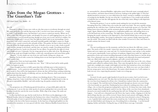# **Tales from the Mogao Grottoes - The Guardian's Tale**

*ESF Island School, Tsai, Maddie - 14*

### 366 CE

Someone is calling, a warm voice with an echo that seems to reverberate through my mind. My senses gradually clear and the fog seems to lift. I can feel every bone and muscle in… a body, my body? I will myself to move, but find that I can't seem to control my muscles. Where am I? What is this? The echo grows louder, and abruptly I'm aware of a pull tugging from my core. For a brief moment, I can feel myself moving, though not of my own accord, and all of a sudden, I'm blinded by a bright gold. I can see! Once the light has faded I take in my surroundings. Green grass sways with wind I cannot feel, and small waterfalls sparkle with light I cannot see. Right in front of me, a pond covered in the soft pink of lilies. The garden, for that is what it must be, is silent for all but the bright gurgling of the water. It finally occurs to me to take a look at myself. I give another attempt at movement, and this time, my muscles comply. Uncurling myself from the heap I had been in, I peek over the pond. For my efforts, I'm greeted by the sight of a beak and a bright red crest. Cautiously, I let my wings spread out on either side of me. My plumage is breathtaking, made up of bright royal blues, scarlet reds, emerald greens and warm honey golds.

"Phoenix." A voice shakes me out of my awe and I startle, letting out a sharp caw.

Turning, I'm faced with a serene face looking down on me from upon his lotus, around his head a golden halo.

Instinctively, I bow my head respectfully. "Buddha"

His hand reaches down as he strokes my crest. "Rise." I lift my head and he smiles gently before he begins to speak.

"I have brought you here to fulfil a great duty that will help many in their journey to enlightenment… to be a protector and a guardian of the Cave of a Thousand Buddhas. The good monk Le Zun will be the beginning of a divine site that will lead those seeking awakening and freedom from the shackles of suffering, and you, my dear Phoenix, shall watch over his work and look after this holy spot."

Somehow, I know what I will say without even thinking about it. This is my purpose. Taking a deep bow, I utter words that seal my fate. "It would be the highest honor to take on this great responsibility Buddha", and with another tug, the garden around me falls away.

### 394 CE

The prosperous city of Dunhuang sprawls beneath me, as I gracefully glide under the sweltering sun. I can see the tiny white specks of caravans making their way across the sand, heading towards the oasis for the weary travellers. With a flap of my wings, I fly south east towards the caves.

Le Zun had died years ago, but his work lived on. He'd been on the pilgrimage to the Western Paradise when he'd stopped by the Dachuan river, where I found him. I'd watched as he took gulps of water to quench his thirst from the long journey, and rested on the shaded river bank at the foot of the Sanwei mountain. As the final rays of liquid gold spilled over the summit of the mountain, we were graced with the vision. Maitreya Buddha beamed down at

us, surrounded by a thousand Buddhas, right palms raised. Heavenly music seemingly played from nowhere, and fairies danced about in between, basking in the golden light. Le Zun had silently kneeled in reverence as a tear rolled down his cheek, vowing to establish a sacred place of worship for the Buddha. For the rest of his life, I would observe as he would work tirelessly to build the first cave into the cliff opposite the site of the holy vision, filling it with depictions of his blessed vision.

Nearing the grottoes, I can see another monk making his way towards the mountain. Swooping down low, I follow him as he reaches the sandy river bank. The sun is quickly setting, painting the sky with fiery hues. I hold my breath as the monk looks up just as Le Zun had. The fading sunset turns iridescent, and the mountain glistens and sparkles from a light of unknown origin. Again, Maitreya Buddha appears in a resplendent golden aura, still smiling down at us as his left hand rests on his crossed legs. The light shines, luminescent, on the cliff opposite, bringing the monk's attention to the depictions Le Zun had left behind. Just as soon as he turns, the dazzling light vanishes. Surviving in nothing but a mere memory deeply engraving itself into the monk. This monk was filled with the same wonder I'd seen in Le Zun, and I knew he would continue the former's work.

### 907 CE

The sun is peeking up over the mountain, and the first rays throw the cliffs into a warm glow. The stories of the two monks' visions have spread across the nation, and people from every station and every region now come and visit. I've watched dynasties come and go, as the number of caves grew exponentially. Layers and layers of sandstone chipped away under my vigilant eye, generations of men and women travelling thousands of miles from their homes to visit the divine spot. Over a thousand caves were added to the original, each elaborately decorated and painted with care, filled with scriptures and sculptures, and walls covered with murals.

I spy a small group of monks carrying armfuls of scrolls make their way to the caves, along a familiar path walked by millions before them. They enter through the first cave, which has been made into a multiple story temple with bright red roof tiles that remind me of my own feathers. The caves have never been more alive, and with them, me. With every new cave that is built, I feel my energy grow, tied to this blessed spot. No matter which dynasty it is, I will continue to look over my caves, respecting the promise I made ever so long ago.

### 1640 CE

I'm tired. It took a good couple hundred of years for me to notice, but I can feel it now, weighing down my very soul. The duty that was bestowed upon me has made me weary, and the caves have been forgotten by all but a few. I should have realised when the construction of caves stopped. The road that used to bring thousands through my dearest caves now brings a few local monks on a good day. Dunhuang has been reduced to nothing more than a small village, a far cry from the prosperous trading hub it used to be. It's funny how time works, those minute changes that you disregard, until it's too late. Many of the caves have been abandoned, deemed as too much trouble for the small group that still visit. Perhaps this was always going to happen… I am well over a thousand years old. Every day, I grow weaker, clinging on to the last shred of hope that the caves will be revived. I know that no such miracle will happen. My fate has always been tied to the caves, and now that they have been deserted, so have I. Flying into a cave, I quickly find a small nook that seems around my size. I settle into it, tucking my head into my faded feathers and closing my eyes. Everything feels so exhausting… I can feel myself slipping, further and further. Feeling the tug, as I did all those years ago, I surrender.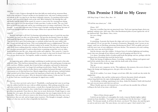### 1900 CE

There's a voice. It pierces through the haze that dulls my mind and my awareness floats back in bits and pieces. I haven't awoken in two hundred years, why now? Looking around, I see nobody in the cave that I'm in, but there's definitely someone. A scratching sound reaches my ears, and I trace it to a small crack on the wall. Who's behind it? I fly through the wall and finally find the source of the sound. It's owner is a man in his 50s, wearing loose fitting robes and a cap to cover his shaved head. A holy man then, I realise in relief. The cave I had been in was blocked with sand, and he was scratching away at it using a small shovel. This was unusual… in my semi-conscious state I'd been aware of people coming and going, but none of it had been enough to pull me out of my torpor. What was so special about this man?

### 1909 CE

Betrayal, and anger is all I feel. I'm burning with pulsing hot rage as I watch the man that had woken me, load cart after cart of documents. The precious documents! I knew he didn't understand the significance, being illiterate, but to blindly give it away, all for a couple dollars? They are not his to give! Each manuscript, so carelessly stacked onto the rusty trolley, feels like a brutal stab through my breast. This is not leading holy men to enlightenment! This was sacrilege, desecration, of work so tirelessly worked on by monks! The thieves in question not only clearly know nothing about the contents of the documents they have taken, but hope to use it for their personal gain! I watch in silent horror as paintings around the caves are taken down and thrown into the carts, along with textiles and sculptures. This cannot be. I must be in some sort of nightmare. Filled with grief, I let out a loud cry that won't be heard, I feel a tear trace it's way down my face. I'm hopeless, unable to interfere, unable to turn away.

### 1939 CE

It's happening again, soldiers jeeringly vandalizing yet another precious mural as they joke with each other. They had been stationed here some months ago, this small group of young men with cruel faces. Within a month, they'd tired of their card games, and turned to destroying various statues and artwork. I no longer feel anything towards them. Numb. This isn't new. After the first betrayal, a stream of other thieves and vandalists had passed through, each leaving a permanent scar of what had been lost. Murals stripped from walls and statues carelessly broken. I had watched each of these being created, the long hours of hard work, the effort and love poured into each and every piece. All to be destroyed within minutes. Is this my fate? To watch, as all that I had once watched grow and prosper be ripped away cruelly?

### Present Day

The caves have survived, and so have I. Thankfully, a small group had come in not long after the soldiers had left, for once with no selfish intentions. After poking around the caves, and what seemed to be many observations, a steady flow of people had arrived. While not particularly holy men themselves, they worked hard at repairing and protecting the site, and I give them my gratitude. From then on, there was no more destruction. People began to come through the caves again, this time not for enlightenment, but out of appreciation for the caves themselves. The caves will never return to the divine beacon of holiness that they once were, but for now, they are safe, and no longer mine to protect. The thought is strangely calming, I think, as I close my eyes for what is hopefully the final time.

# **This Promise I Hold to My Grave**

*ESF King George V School, Zhao, Rou - 14*

"I'll tell the stars about you." - B.K.

### *Winter, 1937*

Dig your crystalline legs into my punctured veins. Trail your tapering fingers down my gushing, soaking veins. And come. Place that bloodstained palm of yours against the veil of my shuttered lids. They flutter. Once, twice.

Are you a thing?

*Inhale,*

*exhale.*

A something. A parasite that haunts the ridges and crevices within me, that even I have not explored? Or are you just this: A monster of memories. Burgundy wine I savour on my tongue, until you are bleeding, poisoning, blackening my blood. Till I am giddy and sweet with the mere taste of your nightmares and your dreams. The memories you send crashing wave after wave into my fevered brain.

And the dreams come like wildfire. A disaster born of cerulean lightning and smoking wood, that razes through all my defences until I am left gasping and short for air.

I see dunes. Sweeping whales of molten gold beads that plunge and rise, perhaps with the wardrum beat of footsteps that tread the barren land.

Wind, the hissing of sulphurous flames. Scorching, crackling, rubbing sand against sand until all the melody that is the air, rings with the death rattle of the desert.

The visions trickle, slowing. Stops.

*Tap, tap.*

It feels out its new conqueror, its foe. This nightmare, this memory, this secret of mine. It fingers the bumps and sloping grooves, the gyri, sulci of my brain.

*Pushes.*

And all of a sudden, I see stone. Gouges carved into cliffs, they would one day stroke the stippled sky.

I see vermillion, slate and the verdant green of forests that paint whorls and spirals, colours long faded into the sepia of photographs, yellow, bruising with age.

I am thrashing, writhing, squirming in my sleep, choked by blankets I hold with bunched fists and crescent-moon nails that tear and tear.

When I finally open my red-rimmed eyes, I can still taste the metallic bite of blood, welling in the back of my stone-cold throat.

\*\*\*

"More of those dreams again?"

I stretch out my limbs as I contemplate the words, wrap my blanket tighter, tighter around my bony shoulders. "Last night, I saw something new for the first time," I reply slowly. "For the past month, its all been the desert, you know? The dunes, the sand that goes on and on and never ends. The same dream, over and over again. I don't mind it, but-"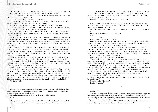I hesitate, and it is a question mark, a period, or perhaps an ellipsis that taunts and lingers. My friend sighs. "You don't get it? You want to know what's going on?"

When I tilt my head in acknowledgement, her arms come to loop around me, and we are content to hold each other for a while.

"Well? What did you dream about then? Last night?"

"Caves." I reply instantly. "Like a large ant's nest, all peppered with these huge holes. It was all over the cliffs, and there were these beautiful paintings."

The secrets I glimpsed night after night were as much a part of me now as all the uncharted stars to the moon. The stinging, salt-soaked wind to the brine of the sea. Clotting blood, lattice of veins, they spell out my breathless dreams.

The way the sun had hit the cliffs at just the right angle to spill the amber lustre of sweet light. The way everything soon became drenched and coated, bathed within the colour of freshest autumn leaves.

It was as if everything had been spun from spools of thread stolen from the finest wisps of clouds that had once adorned sunsets. Threads of marigold petals strung in silken garlands. Of freshly spilt honey, sticky and wild which twisted, wove and embroidered all that touched the wandering eye. "But it was so pretty, August." I chew on the inside of my cheeks. "You don't understand."

My friend inclined her head towards me, and when she spoke her eyes are latched upon mine. "And what did you say the dreams were like? The thing that gave you those dreams?"

 Like spirits. Like ghosts, monsters. It had a physical presence, pressed tight against my waxen flesh. Barely sealed within me, threatening to erupt, reach arms strung with intestines, claw itself out my gaping mouth.

Like something hid within me, stole every *pump pump* of my telltale heart, snatched at every thought, every colour that shot, electrical, tingling through my splintering, fracturing skull.

And every night, the *thing* feeds me. Stuffs rotting roses of desert-world dreams into my restless sleep, until I am eroded, whittled down, all strung together, rickety. Me with my sack of sagging skin and bones, I dance on its gilded strings.

I smile. "It's nothing, really. Just a headache, now and then."

Her eyes are searching, seeking, are they pleading? I've played this game for far too long. In the end, all that August can do is give the sad little laugh of a friend who had long learned you. All about you. Your machinery, every oiled cog and gear twisting, turning, what makes you *tick tick tick.* Who had long learned to strip through every little lie you wove, deft cut by cut. And who gripped my hand now because we both knew of the sleepless, spinning nights. The smoke-throttled dreams, restless murmurings, they wrack my sweat-drenched body.

All of this, I hide.

\*\*\*

The next time I see August, there is almost nothing left of me. Hands locked around my chest. They squeeze and squeeze as if I could push it down. Just push it down, restrain this monstrous thing that feasts inside of me.

Is it my heart that's beating? Is it me that closes my tired eyes now? *You or* 

*me?*

It has grown persistent. Gnawing from inside this home it has made, coiled and meshed between my blood-soaked organs. It rears and shakes, sends wave after wave of dreams.

They come prowling deep in the middle of the night, bullet after bullet, you strike my weathered flesh. You fog up my vision until my eyes are watering, and my heavy breaths escape my pursed lips in ragged, choking hiccups, scraped out from somewhere within my clogged up, smoke-filled lungs.

Over and over again, the visions whirl through my head.

August rushes for me, cradles me against her. "Hey, hey. Are you okay? Juliette, hey!" Her fingers knot through my sopping, tangled hair. "I'm here, I'm here, okay? Hey, hey, it's okay. Is it your dreams? The beast?"

My fingers form claws around her wrists, and I clench them. She winces. Doesn't draw away.

I hold her, she holds me. She is real, real, real.

*Fake.*

*Fake?*

Real. August is real. She's here. I'm here.

I listen as she begins to speak. Regain myself with every lilting note her petal-soft voice forms. She strokes my feverish head, speaks in undulating streams as if her words can patch these oozing, hidden blisters that paint me inside and out.

"Do you want to know something that might cheer you up? Yeah? Yeah? Okay." She croons to me, stitches her words like a lullaby. "Well, I did some research after you told me about your visions, and I found your dreams in the newspapers. Do you know it? They're called the Mogao Grottoes." She wipes my blood-stained lips. "The Mogao caves if you will, and it's surrounded by miles upon miles of desert."

*Inhale, exhale.* The beast loosens its chokehold on me.

"Some people are calling it the land of dreams. It was discovered a few years ago." She smooths my jagged fingers until they are limp. Laces her own ones through mine. "But a lot of the caves have been vandalised, damaged, things stolen from them." She falters. The beast falters.

Her eyes are the softest of blacks when she entangles them with mine. "I think you should go, Juliette." It's there, snarled within the tug of her lips, drowned within the sugar of hope. "Maybe it's the source of your monster. Maybe all of your visions and nightmares."

What a dangerous thing it is, hope. "Maybe." I fight to regain my voice. "Maybe it'll make it all go away." For once I allow myself to dream. "Maybe I'll get better."

She rests her cold, cold forehead against mine.

When I speak again, there is only me. Just me, lying here, monster be damned. "I won't be gone for long."

She bites her lips. "Promise?"

I smile. "I promise."

\*\*\*

### *Spring, 1937*

Cloaked within these angel wings of night, we travel. Your haunting voice is the chorus of asteroids. Of incandescent meteorites and comets swirled within the frosted haze of galaxies, nebulas, stars. You sing, and you are the phantasmal caress of gold-veined ivies that engulf, play tic-tac-toe across my stone foundation.

You are everything gone rotten in this world. You are a beast shrouded in beauty, and you are a festering, oozing wound that can only cause pain, pain, pain.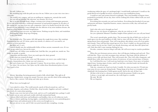### Yet still, I follow you.

My stumbling legs walk this path you trace for me. Follow you as your voice rises into a crescendo.

The world is my compass, and you are pulling me, tugging me, onwards due north. Are you still my parasite? My infection, my monster, my secret?

But as we pass through sleepy villages, twining wires strung with homespun garments. As we trek across unbroken, windswept mountains of sand painted sanguine by the glow of the setting sun, you have been my only companion. And as we finally breach the line of the known and the unknown, I step willingly into the oblivion of my most insidious dreams, the figments of my broken, fractured imaginations.

I feel nothing from you now, my night-horror. Nothing except for thirst, and wanderlust. Nothing but a bone-deep tug of longing.

Is this your home?

My footsteps echo. They patter, fall, fold against the rough-hewn stone, like raindrops disintegrating into soil. If I strain, quiver my nostrils, it's almost as if I can smell it, air redolent of sweet petrichor.

But there isn't, I can't.

I march blindly into the unfathomable bellies of these ancient, mammoth caves. It's too dark for my naked eyes, but not for yours.

I heed your call, follow your steadfast lead. And like this, you guide me, nuzzle me. You nudge me gently, so gently.

Labyrinths and labyrinths, I leave my mark upon the dusty ground.

Is this what you wanted all along?

You were never born of rage, were you? My monster, my sweet, you couldn't help it. *Hiraeth:* a homesickness for a home you can't return to.

But you're home now. You are placated. Content. You sit me down, and we wait.

For what, I do not know, but I place my life within those bloodstained palms of yours that I used to fear.

\*\*\*

Mirrors. Spreading, fracturing gossamer strands of silk cobweb light. They split in all directions. Upside down, wrong way around. You turn, turn, turn the wheel of this sinking ship. And so, like a mirror, I fall asleep and wake up to dreams.

### Where have you brought me?

I am soaked in colour. The world unravels, spools of thread around me, and I see porcelain, begonia, and seafoam. Orchid, lilac, deep lavender. Sapphire and steel, conflated into swirls of a watercolour painting.

Murals cram every last inch of bare rock, and it is as if I could glide here, perhaps I could fly. Stretch out my arms and touch worlds with both outstretched hands.

Galaxies filled with fairies and bodhisattva and buddhas, they are all within my reach.

There is history spidering, leaving ripples, conchoidal fractures in every painstaking piece of chipped stone and sunburnt paint in this cavern you brought me to.

But you ask me to run, and if I did, rose petal smooth skin crumpling, creasing,

weathering within the space of a prolonged sigh, I would finally understand. I would see the garish blood-red of graffiti lacerated, scratched across your tumbledown home.

I would see men and women dressed in midnight. They steal handfuls of bygone times, pocketful by pocketful, till one day, there will be nothing left of these ribbed walls you used to dance within.

Everything that serenades you and your brethren. Everything that breathed of your past and present and future. Sepulchral banners, statues, timeworn scrolls, they will melt into greedy hands.

And is this why you've brought me here?

Who are you, my dearest of nightmares, what do you wish me to do? Are you a phantom? Monster? Guardian, knight of these palatial caves you call your home?

The ocean's smooth glass, gentles them. The incessant *drip drip* of fitful rain can leave its mark upon even the most stubborn of cliffs. And so, time will do the same. Time will coax spring shoots from arid grounds. Time will wrap plaster after plaster across all of our gashes and wounds. Time will heal this ruined species of us. Even I couldn't see the good that you were, until it was far too late. Until I was already drowning, and only then did I plead and call. Only then did I come running, flailing for you.

Decades, centuries, however long it will take, life will never stop its ceaseless pendulum sway.

When the next fortunate person arrives, they will dig past choking sand and rock. They will find this. These caves that encompass time and space, that loops with the deftness of arteries across cliffs and desert land. They will treasure this. They will collect fragments, and rebuild these walls, these interwoven stories of yesteryear, of your ancient times, of history.

So, I will bleed for you. I will reach my hand into every fissure. Every piece of stardust, ripped tissue, beating organ of mine, until I am laid bare, stretched inside out beneath the infinite night sky of your gaze.

Take me, consume me, head over heels, I tumble. Do what you must do. I'll sink into your arms; let you count my dying breath. *Thump thump* of my heart as it strangles in this chokehold, this bruising force I hold against myself. And in the end, all that I am.

All that is left of me is a dreamer, entrusted with this promise I hold to my grave. I release a vacant sigh, and around me, the walls begin to crumble.

We sink. We fall.

We are forgotten.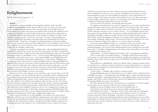# **Enlightenment**

*ESF West Island School, Tsang, Eric - 14*

### *Rebirth.*

Harmonious, sonorous thoughts echo through the chambers of the clay halls, complementing the immense silence that pervades the static air. As the rest of my limbs stir into an unmoving consciousness of the caressing hands, I feel the light strokes of bristles moisten my eyelids, and I observe the demure smile of satisfaction unfurling on the young monk in front of me, which hastily dissolves into a solemn look of appreciation as he effortlessly suppresses his fleeting swell of pride. Briefly, his subdued eyes flicker with effulgence, meeting my gaze, ever warm, ever serene, ever sunny. Acknowledging my existence, he remembers his purpose and quietly slips away, his fingertips last to leave the touch of my palm. 'Thank you,' I thought, the undulating whisper of gratitude rippling from the core of my heart, glowing a sharp, hidden shade of red, extending to the end of my palm… But the wave never came into contact with him, nor did it manage to flutter away and escape from my stonelike, earthen body.

Sat firmly cross-legged, eyes closed in a meditative pose, with my right palm held facing forwards, I am unable to see or move, and a few loose rocks gather in the alcove I am placed in, causing slight discomfort. I simply rest above these superficial fragments of the mind, my steadfast demeanour as placid, as contemplative as ever - I have overcome suffering long ago, and I am free of desire, or the need to move or see… In an instant, Buddhas see all, Buddhas know all.

It was in that timeless moment that I gathered I was a reincarnation of Buddha, part of a realisation of the vision seen by Le Zun the Buddhist monk. A thousand Buddhas had appeared before him here in the desert, bathed in golden light. But why? Why did that vision occur to him? It couldn't have been a figment of his starved mind, imagination… So what purpose do I have here? Did I not resolve all of my karma in the previous life, liberating myself from its perpetuation? Why have I been reintroduced to the cycle of rebirth? The illustrious spirit of the Buddha is eternal. I am eternal.

My hair is tied into a bun. Draped over my shoulder is a piece of clay fabric, laced with jewels, extending to cover my whole body. Intricate, cloud-like swirls are emblazoned into it, resembling the sinuous streams and serpentine winds. The luxurious alcove behind me is lined with gold-plated tiles, a mosaic of rich, vibrant sheaves of wheat that join at the top, with a plethora of clay ribbons surrounding me that twirl away into the walls. Dense geometric structures of gems weave the upper part of the corridors, twining and spiralling up into the domed roof of the imposing apse. Candles placed carefully by the walls cast a soft, golden hue onto the Buddhas, dyeing the room an ever-changing tint of orange, just the way Le Zun had envisioned it. Meticulous, dynamic paintings of Buddhist figures fill the remaining part of the walls, each one uniquely identified, possessing a crystalline quality, depicting the transformation of the mind as enlightenment approaches.

Sat in a semicircle beside me are other Buddhas, some female, some male, dressed differently, with the same alcoves but different resting positions, more subtle, less dramatic, but just as luxuriously placed nonetheless. We must be extremely revered to be enshrined, elevated like this. I paused for a moment, wondering if the fellow Buddhas beside me were wondering about the same things as I was. I willed myself to elicit a response from them,

willed them to respond, however their emotions were just as locked behind the facade of their indifference as mine were. For a moment, I thought I saw the stormy seas of the mind through the empty stare of the Buddha far opposite me, then realised that it was merely a mirage I had constructed of the torch fire reflected in its eyes. We remained just as unwaveringly composed, just as pacific, our everlasting, serene smiles and sunny eyes revealing everything and nothing about us at the same time.

Our faces answer all questions. Our thoughts punctuate them.

The pilgrims and monks below us are just as composed as us, eyes closed, mouths drawn, sitting or kneeling, hands rested on their laps or held in a fist in front of their chests. Their thoughts are ablaze, however, allowed to run freely in the caves. Perhaps this is an indication of their restlessness, that they are yet to achieve nirvana… A sea of thoughts emanate from these people, flowing rhythmically to surround us, conducted brilliantly by their collective mindfulness. Boundless, righteous thoughts freed from ill-will, liberated from sensual desire. What a shame these pilgrims and monks are currently unable to gain insight into this strangely comforting, ethereal music! Yet why does this feel so comforting, to be in the presence of imperfect beings? They idolise us, we are their objects of worship.

One of the aspiring Buddhists before me, a young boy trying to let go of his angst, finishes his meditation practice, and lifts his gaze to meet mine. Immediately I sense something disappear, and a tiny bit of the shimmering lustre that enveloped the room drifts back to him. A cold glint of disappointment and chagrin settles in his pallid eyes; he shrugs his shoulders and channels it away.

'I felt nothing…' he thinks, holding back his bluster with a contemptuous tranquillity.

'That is exactly what you should be feeling…!' I thought, glaring back at him with as much vigour as I could muster, the sheer frustration of helplessness tugging at my leaden face. Somehow, the message seemed to register, and a soft fulfilment finds and imparts itself to him as he walks off.

'Please guide me to Buddhaship,' another one silently wishes, aiming her infinite, intent stare fixedly at me, sending an unexpected chill into my stony, hardened heart as I contained a rueful laugh, knowing that my impenetrable facade would fall before fiery eyes could melt an inch into my icy walls.

'I wish I could…' I thought, 'But you'll have to guide yourself.'

'Perhaps Buddhaship isn't at all what I believe it is,' she thinks. 'Is this a doubt that I have in Buddhist teachings…?' Brooding, discordant thoughts appear, visibly staining the pleasant, melodious atmosphere. Tucking herself back into a cross-legged position, she turns her elbows upright, cups both her cheeks with her palms and rests her sagging chin on them, her lower jaw hanging slightly open, pensive but hopeful.

She looks around and redirects her concentration at me, checking to see if her thoughts had any impact on my expression. Relieved, she continues meditating.

Buddhas see all, she wordlessly chants with fervour, Buddhas know all.

And with that, she melts back into the orchestra of subtly unspoken prayers.

'But Buddhas don't feel all…' I thought to myself. 'They merely fade into nothingness.' I start to notice the imperfections in the room, stark and distinct as they cast a striking contrast to the perfect chorus of thoughts. A blemish on the porcelain vase beside me, a crack in the clay walls, the last unfinished paintbrush stroke and slight fracture by my elbow. Unperturbed, I conclude that these mistakes were made by humans. Humans, who have not transcended time and space. Humans, who have not achieved nirvana, and are still prone to distractions and errors.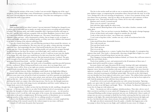Observing the serenity of the room, I realise I am not needed. Slipping out of the cage I am put in, I let my mind adopt a state of formlessness, reassured our followers have everything they need. Devout pilgrims and monks arrive and go. They blur into nothingness as I fade away from the realm of perception.

\*\*\*

### *Awakening.*

Time presents itself to me when I return; I am not interested. Nothing has changed in me. I remain just as rock-solid, just as sturdy, my smile and gaze just as revealing and unrevealing as before. The glorious music and visible tranquillity that I experienced before still reign in this cave, and this cave is still just as popular with our fellow Buddhists, however there exists an evident lack of hustle and bustle that intrigues me. The music I heard before is now of a different calibre and tune - still as harmonious as before, but no longer as rich, no longer as vibrant and bright, and more of a subdued quality, as if they were naive children who matured to be more accepting of the inherent suffering of life.

I spot the woman from before, wan and faltering, peering in from around the entrance, an aura of emptiness surrounding her. She stares into my eyes again, a sharp, piercing, sweeping, expectant stare. And surprisingly this time I find myself being the one who tries to gain insight into her. I bore through her inky, swirling marble eyes and tried to navigate through her pitch-darkness, but there the entrance was locked tight, and I could not wander any further into the garden of her heart. No indicator, no key I could use to peer into the depths of her being. Her cold, ebony eyes would forever be shut away from the world. Only the facade of her withered self could be observed. She had attained nirvana, I realised. The gain in the strength of her mind had come at the cost of her emaciated body. One more ascended spirit soon liberated from death… and life, I thought wistfully.

Absorbed in my own thoughts, the harsh cavity of inaudibility amid the peaceful harmony recedes, swallowed. When I bring myself back to my senses, she is no longer there, yet I know she always will be. Even as my right arm remains outstretched forwards, with my palm pointed firmly towards the sky, I heave a sigh of weariness.

A jewel tumbles from my clothes, dislodging a small chunk of my thigh before falling to the ground with a distinct clatter that reverberates across the room. And although a few of my followers soon come to my aid and fix it back in its position, I am left to question my timelessness.

I never see her again. As the days come and go, more and more of my aspiring Buddhists turn out like her - they achieve the highest levels of concentration, freeing themselves of anything the mind can conjure, thus achieving nirvana. One by one, the thought musicians bow out, stars who shine with rising vivacity and splendour until they vanish, halting in an abrupt finale, never to be heard again.

In the languid silence, I reflect on how the boy felt before he left, instilling a thought that nags me - is Nirvana really what we are after? At the highest levels of concentration, we can peer into the thoughts of others while attaining utmost control over ours… we rid ourselves of the desire to feel. I recall the cold, stony glare of the woman, the metamorphosis that she underwent in the path to enlightenment. By freeing ourselves of dissolution, are we essentially robbing ourselves of the capacity to feel? Are we robbing ourselves of warmth?

I observe the Buddhas sitting beside me, a semicircle of stillness, an ironic sangfroid that reflects nothing of the turmoil caused by the violent tempest in my stone-cold heart.

I wonder if I still retain the purity that I possessed.

The fire in the torches snuff out with no one to maintain them, and eventually just a pure darkness reigns, accompanying the tremendous silence that pervades the static air of the caves. Perhaps this is the true meaning of timelessness - to have every moment of time with you when it has no meaning - time has no effect on the quiescence and constancy of these picturesque caves. Time presents itself to me; I listen, for it is my only companion.

Humans aren't eternal, I remind myself.

These caves are eternal. I am eternal.

And with that, light engulfs the ashen room.

Not the natural, flickering flame of the torches, but rather a harsher, constant, stark white glow.

There are men. They are not here to practise Buddhism. They speak a foreign language. A brew of their desire and wonder congeals to smother the clay halls.

'Look at what waits for us here,' one of them says, tantalised.

'I can't wait to bag these riches,' another one says, a look of treacherous lust in his malicious eyes.

I shut myself from these abominable horrors.

They walk towards me.

They put their hands on me.

They climb upon me.

They sit on my lap.

They point something at us, a camera, I gather from their thoughts. A contraption that captures time itself. They smile, a cloying smile, directing a bright flash of light at us, and I feel a tiny portion of myself being drawn out into the camera.

They disappear, leaving nothing but darkness behind, yet I know they will soon return to satisfy the rest of their desires.

Tired of my inability to react, and uninterested in the ill intentions of these men, I remain aloof and let myself be at peace, undisrupted.

Incessant chatter and vague discussion fill the room, buzzing with eager anticipation, a knotted, ravelled mess of audible dissonance impossible to untangle. I can make out the disparate voices, however I am familiar with none, and cannot identify the voices from the rapturous cacophony of sounds. A crowd of people are gathered in an orderly fashion at the entrance, drowned in jarring jets of brilliant, potent light. The jewels on the cloth draped over my shoulder have been replaced with newer ones, I notice. The robbers before must have stolen them. My knee has healed. The portion of the garment on my lap has been replaced as well. And the paintings on the walls have been redrawn.

A small boy is let in and excitedly approaches me with curious fascination. Tiptoeing gently, eyes open wide, he stands a metre in front of me and bends his head back upwards so that he can take in my full figure and height. 'Wow…' He thinks. I'm flattered. Walking over to my feet, he hugs me with ardent zest.

'Aww…' his parents say with an emphatic wholeheartedness. They take a device out of their coat sleeves and direct it at my naked self. Stinging rays of white stab into my raw body, a thousand blinding needles trying to penetrate into my core. Reflexively, I direct a pulse of energy into my arm in an attempt to shield the boy before noticing that the boy seems to be immune to the lights. My outstretched palm forms a perfect barrier between the lights and my face, but that doesn't stop a dozen streams of myself from flowing into their cameras.

My right arm shivers momentarily from the quake, a shudder that happens just as the boy jumps to throw his leg over my thigh, and I suddenly become aware of a fatigue, a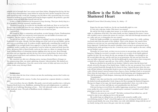palpable lack of strength that I am certain wasn't there before. Hanging from his leg, the boy curls his lip in determination, tenses before he arches his back, lurches around his waist and pulls himself up with a swift jolt. Grasping at my left elbow with a powerful leap, he secures himself by hooking his wrists behind and lacing his fingers together. He performs a graceful acrobatic swing and deftly flips himself onto my lap.

It takes a couple of moments for his parents to stop cheering. Their jaws slowly drop in a fit of apoplexy, arousing animated, transient mirth.

Thrusting himself up, he reaches for my shoulder and climbs up. Now we are level. He heaves a sigh of relief and closes his eyes, sitting down and wrapping his legs around my arm. We observe a sense of togetherness as he opens his eyes to meet my gaze.

I am touched.

All around us, there is commotion and mayhem, an utter barrage of noise. Pandemonium reigns around us, but I am convinced it won't puncture our safe bubble of sweetness and soundness. The boy is just as calm as I am, reassuring me.

'Let me see you whole…' he thinks, and there is nothing I can do as he begins to shuffle backwards to my palm. Already I feel him sliding out of the reach of our safe bubble, and my arm emits an unsettling creak. It weakens steadily, significantly, something that would be an impossibility if my strength hadn't been sapped to a crisp by these cameras. I shake wildly, trembling, unable to gather the concentration I need to isolate my mind and body from this chaos. An intense blow of shock finally cracks my face open as a silent cry emerges from my heart, sending billows of exhausting emotion rippling away into my arm, down through my palms into my fingertips and into the boy, but it never reached them, for down on the ground, tainted amid havoc and confusion, lies my arm and the boy, clung to each other, shattered, inseparable.

My contorted eyes skit over a floating canvas, tracing a frenzied flurry of images on the overpowering white, my mind a glittering, dynamic, ethereal palette. My dazzled eyes clouding with whirling haze, I lose the canvas in the vortex of white and soon every bit of colour washes away, leaving it blank.

\*\*\*

### *Enlightenment.*

It is only when the last of me is drawn out into the unrelenting cameras that I realise my end was never near.

My clay body and the cameras, I realise, have granted me a separate identity as a timeless spirit.

I am everywhere, but not a Buddha. My gentle, reserved smile manifests into a wide grin. Emotion floods back to me. Buddhism, attaining Nirvana and enlightenment, is a pathway from life out of suffering, liberating us from… Life. Life inherently makes us suffer, makes us cold, hardened, stony. The path of Buddhism merely enlightens us.

*Eternally.* 

# **Hollow is the Echo within my Shattered Heart**

*Maryknoll Convent School (Secondary Section), So, Audrey - 15*

Empty lays the space beside me, for the one hundredth night in a row. *It's been such a long time, brother. Why haven't you returned?*

He said he'd be back in eighty-four moons, so we held an honorary feast for him that night, in celebration of his feats. Our entire family was here, hoping for his return. I mean, who wouldn't want to witness the return of a war hero, who had trod through mountain and sea, valley and cave, to bring glory for our country?

Under the bright moonlight, we anxiously anticipated his return. For a while, nothing was heard aside from the games of the children. Then, in the distance, the sound of slow trotting was sent into my ears, growing louder and louder as the figures of some men on horses appeared. I looked past our parent's shoulders, heart racing at an astronomical speed, fuelling up the smile growing on my face. I raised my arm to wave eagerly at the men, calling out my brother's name.

Normally, he'd wave back, yet there was no receiver to my greeting, only a few heads hung low. Perhaps he was tired, or maybe even shy to see so many of our family gathered together for him. He was always the shy one amongst all our siblings, even though he was the second oldest after me, and the only boy in our generation. He may not have been the man our father expected him to be, but this breakthrough he made to prove him wrong most certainly left us all proud, especially me. Ours will be a family of honour now.

Being too absorbed in my pride for my brother, I failed to notice that the horses had already arrived by the gates of our family home. I didn't see the way our parents' faces twisted as they searched frantically through the few horses for him. I missed the part where the men took off their helmets, lowering their heads in sync at our family. I never saw them retrieving a pile of blood-stained, tattered armour from a bag on a horse, handing it back to our parents. Only when the loud impact of a crash was heard, bowls shattering, pots clanging against the floor did the proudness I held dissipate, shattering with the fragments on the floor.

"Grandmother!"

Mother's voice shot out from the crowd of family members. Pushing away everyone, she dashed towards grandmother's body, lying on the floor amongst the shattered fragments. Placing two fingers at her nape, she leaned against grandmother's chest, eyes wide in fear.

"Lian, come over here and help me carry grandmother into the house!"

Only just having recovered from the sudden happenings around me, I stared mindlessly at my mother for a few seconds before registering her command. I mouthed a small "okay", preparing to make my way over.

"What do you mean my son is dead!?" My father exclaimed from behind me, and all seemed to stop at once, glueing my feet to the ground

My mother kept on calling for me, yet all her words seemed to muffle as the overwhelming sound of "dead" echoed throughout my ears, turning my body into paste. I turned around shakily, the scene of my father, eyes wide with disbelief, along with the rest of my family staring at the man at the gate came into my eyesight.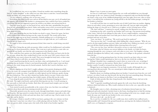As I waddled my way over to my father, I heard my mother utter something along the lines of "useless daughter" as she called over my other sister to assist her. I stood unsteadily beside my father, my young sisters trailing after me.

"A cave collapsed, crushing a few of our men, sorry."

Everything after those words were said are all but faded to me now, yet it's all mushed into one gigantic ball of denial. My brother is a strong person, how could he have been crushed by a rockslide? He was just supposed to prove his worth to our father, not end up dead for it.

Days have gone by since we last heard of you, and in that time, grandmother has passed away as well, presumably from shock. Father and mother seem to have recovered quickly from the deaths of two of their loved ones, yet a strange, heightened sense of anger seems to radiate from them everyday.

Even now, thinking that my dear brother was dead is a pain. I know he's gone, but how could I believe that without having seen the corpse for myself? The words said by those men on that night tug on my heart constantly, violently pulling on it, as if alerting me of its strangeness. Something about their tone just never sat right with me, yet I could never directly put my finger on it.

He might've been erroneously pronounced dead, there must be a truth being concealed from us.

Yet when I bring this up with our parents, father would say I'm disillusioned, and mother would say I've been possessed by a demon. They want me to get married to a man who can provide for our family, now that the only young man in the family is dead.

How could they have gotten over that tragedy already? Does their not heart ache for the loss of a son, whom they have worked hard to raise over the years? All I want to know is the truth, do they not want to know the truth? They never brought his body back, so there must be a chance that he is still alive, no matter how slim it is.

I can't stand knowing that he may be out there, alone and abandoned by us. I can't stand knowing that my brother, if dead, is not buried honourably, and his corpse is just out there rotting in the wind, being eaten by horrid animals. And for this I need to find him- no, I must find him.

Silently slipping out of my bed, I caught a glimpse of my parents sleeping peacefully across the room, the youngest sisters huddled on their bed and the older ones on another bed. Careful not to make any noise, I quickly yet softly tiptoed out the bedroom, gently closing the door behind me. The cave they claimed my brother died in was just 2 hours away from home if I walk. It was somewhat long, but it didn't matter, all that did was the truth.

I ran along the path towards the cave, each thud of my footsteps bringing me closer to the truth. The night wind howls, sand and dirt blowing into my face. I recall running on the same path as a kid with my brother. Back then, life seemed much simpler, just two kids running to have fun in a cave.

Tears started to prick uncomfortably at the corners of my eyes, but there was nothing I could do about them aside from running towards the truth.

I hurriedly sprinted across the uneven roads, through sharp blades of grass and under long tree branches. My legs started to weaken from the wounds it sustained, especially as the cold night wind slashes bits of dirt and sand into them, but I could not stop, I had to make it to the cave they said he died in.

It's strange, I think to myself as I fall on my knees, gazing at the cave entrance in front me. Last time I came here was when I was a child, playing with my brother. Yet now I'm here, as a grown adult, trying to piece the truth of the death of my brother together.

Mogao Caves, it seems we meet again.

As soon as I could stand, I leaned against the cave walls and hobbled my way through the passages in the cave, lantern in hand. Nostalgia accompanied with tears flooded through my mind, as the scene of my childhood playground came into sight. Even now, after so many years, I can still feel the excitement my young self felt as she hid within passages, waiting for her brother to find her.

I can still recall the time we made bracelets out of cloth I stole from our mother, slipping them on each other's wrists, promising to never take them off. I pat my right wrist gently, feeling the shape of a bracelet on it. I held on to it tighter, in fear of losing more of him.

"Oh, that's still here." I muttered to myself, wiping away the blurriness in my eyes.

A painting on the wall, created by my brother and I years ago. Our parents stood smiling at the centre, with all of our siblings by their sides. It was a stupid tradition, coming here everytime father and mother had a new baby just to draw it on the wall, yet my brother persisted and now we're here.

"Lian, run faster," he would say. "We need to get back by sundown!"

"You run too fast, Liu!" I would reply while huffing like a dog in summer, "Why do you need to do that stupid tradition anyways, father and mother have children too much, can't you just wait till they finish having children before drawing them all at once?"

"The caves are fun, Lian, and this is the perfect excuse to come back to play!"

Everytime, after he'd drawn our newest addition to the family, we'd play for hours, running through the caves, trying to catch each other at every turn. Our laughter echoing endlessly throughout the hallway, only ceasing when we'd collapse to the ground, exhausted from the fun.

Usually, we'd end up getting home late, for time seemed to go faster when we were having fun. Father would reprimand us, but to us, the fun was worth the scolding.

Perhaps I shouldn't have complained so much when we went to the cave, or perhaps I should have ran faster on that journey. Maybe then I could have spent more time with my brother, maybe I would've treasured my time better then.

Wrapped up in my forgotten memories, I let my body wander off through the cave, moving about subconsciously. The cave around grew darker despite my lantern, and eventually I hit a dead end.

Hopeless about ever finding anything about my brother, I turned away from the cave wall to leave, yet when I took one step forward, the tip of my foot met something sharp. Directing the light from my lantern to the floor, I saw an unforgettable sight.

A pile of white powder-like dust, lying beneath a few shattered bones, laid out in the shape of a human body.

"Eek!" I squealed, stumbling backwards against the wall, away from the horrifying skeleton which laid before me. Why would a skeleton be here in the cave, especially one that is shattered…

My thoughts came to a halt, a dooming sense of realisation dawned upon me. Lips tightened and teeth clenched, I inched closer to the bones, kneeling down to find the missing key of any hint of identification for the corpse. Surrounding its left wrist was a simple cotton band, the same one I made for my brother in the caves years ago.

*He'd never take it off… was this his end?*

No, it can't be, it couldn't be. He was a noble man, how could he have suffered such a dishonourable end? I slammed the ground beneath me, peering into the darkness behind the skull's eyes, as if hoping for a response.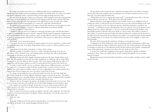It's empty eye sockets stare back at me, drilling deeply into my disillusioned soul, dissolving all the doubt I had surrounding my brother's inevitable death. As reality sets within my slowly collapsing world, a repressed string of tears begin pouring out of my soul.

He can't be dead, but the evidence says otherwise. Still crying my heart out, I grasped the thin bones of what remains of my brother's hand, hoping to feel the same warmth I felt from them all those years ago, yet what appeared in his right hand was not warmth, but a single, crumpled sheet of yellow tinted paper, it's corners dry with dark coloured blood.

Recognising the penmanship on the paper, I frantically started to scan through every line closely, desperately hoping to reconnect with the dying spirit of my dearest sibling.

*"Used as a scapegoat, I cannot believe it.*

*I thought we noble men of war were supposed to stick up for each other, protect each other like brothers, so why was I unanimously chosen to be everyone's scapegoat? Did they forget the importance of righteousness, in favour of wanting to survive? Was my life just a spare, an replaceable one at that? Or was it because I was in your way, protesting against sacrificing one of our brothers to the enemy for our safety, that you all decided to get rid of me?*

*Fair enough, I never meant much anyway.*

*I was always the shy one in my family, not manly enough to fit society's expectations. Unable to fend for myself and stand strong, I was always hiding behind someone, acting as a submissive follower, not one of leadership.*

*I have always been the failure of my family, so I knew I had to change.*

*This war we fought, I scrambled to sign up as a soldier. I thought that perhaps if I'd come out alive from it, I'll be considered a hero, one deserving of glory, and maybe then will my family finally acknowledge me and praise me for all I'm worth.*

*My family bearing wide smiles, happily welcoming me back into the warm, homily embrace of my home. My father patting me on the back, my mother wrapping me in a tight hug. All my young siblings cheering for me, Ah Lian telling me that I've grown. These scenes appear vividly before my sight, yet I suppose they will all remain a fantasy, now that I've practically been left to perish in this horrid cave.*

*It's funny, I used to call this cave my second home. Many precious childhood memories were birthed here, and now, it is the prison in which I will take my final breath. I would've loved to revisit the hallways Lian and I explored as children, maybe even catch a slight glimpse of our family painting, but I supposed that will never happen now, since my torturers crushed both of my legs.*

*It's strange, my legs might have been crushed and mauled into dust, my entire body might have been slashed relentlessly, yet all this suffering could barely compare to the pain in my heart. The disdain burning through my veins, repeatedly telling me that I'm worthless, that I've disappointed all of my family for letting myself be taken away by the enemy, essentially submitting to them.* 

*Whatever, shut up. I'm going to die anyways, the thoughts of my family matter not to me now. They never cared when I was alive, why would they care if I died without bringing an inch of honour to them.*

*Ah, I suppose Lian would care though, she was there to raise me when our parents did not. My fondest memories were of her, of us just being children together. I've missed having such a supportive sibling behind me constantly.* 

*I have no regrets, I've lived up to myself in my lifetime, and that's what's important. Yet I still wish I could've at least made Lian proud in my lifetime. Perhaps I already have, but with the person I was, I don't think I did.*

*Sorry, dear sister.*

*I—"*

A smudge of blood on the last sentence ends the letter, yet my tears do not cease, they only flood out harder at the unsaid thoughts behind the letter.

He has always made me proud, how could his perception of his own self be so warped from reality? He never needed to prove anything to me, all that I wanted was for us to be there for each other until the bitter end.

"What did he ever do to warrant this tragic end!?" I screamed between sobs, at the sky that I could not reach nor see. "Why did we treat him this badly!?"

Blurred splotches of red appeared before my eyesight, scenes of our childhood danced within my vision. I could see the way he smiled at me as we drew the last sibling on the wall. I could see the misery in his eyes when our parents called him profanities, saying he was "unmanly". I could hear my past self telling him that it was just the way of our parents, never offering him true comfort and solace. I can now envision the betrayal of his brothers, who had fought together with him, their faces blank as a sheet as they sent a fellow comrade to their death. I can feel the pain my brother felt when his legs were crushed, not for the loss of his legs but for the honour he'll never bring to his family. I can understand the despair behind the crumpled paper in my hands, the betrayal eating him alive as he struggles to express his final thoughts.

We were all his betrayers, his murderers, whether we intended it or not.

I collapsed to the floor, flailing my arms around destructively, wanting the world to just shatter and fall upon me. But no matter how much I wish, the world around me will not stop, it continues to mock me as I lay shattered beside all that remains of my brother. Grasping the bones of his right hand, I turned to my side to face the death in front of me.

I can hear our child selves laughing at their games, lying down together in blissful exhaustion. Now, I hear my endless stream of sobs echoing through the room, us lying broken in despair.

Bloodstained is the hand that holds my brother's. In her unstable, mistaken mind, a killer she has become.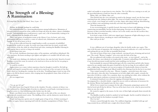# **The Strength of a Blessing: A Rumination**

*Po Leung Kuk Choi Kai Yau School, Yuen, Leyan - 15*

Perhaps, he thought, perhaps he could help.

Self-mummification was a growing phenomenon among bodhisattvas. Mountains of research scattered around his room, studies he'd kept safe from the others, almost a forbidden practice. Self-mummification would preserve a pure soul, a life of immortality waiting to be lived; a blessing from the Buddha all in itself.

There were plenty of meditation rooms at the Library Caves, he knew, and a wise premonition told him it would be a center of cultural ruin, defamation, and irreversible damage. It was all he knew to fix it.

Rays of silver reflected from the rough bamboo scrolls: an anomaly of unfulfilled prophecies he would yet to make. Its words were long etched into his mind, recitals held every minute of the day while he refused food and water, insisting the Buddha's blessing be sufficient for him to survive as long as he needed.

It was almost time now.

He was frail, cheekbones showing in place of his nutrition, and halfway dehydrated. His robe was loose, the knots needing to get tighter and tighter so it wouldn't fall off with a step of his feet.

His hands were shaking as he slathered cedar-brown clay onto his body. Stencils of seated Buddhas covered the room, he noticed, as he tried not to focus on the fact he was going to bury himself alive.

It would be worth it.

Asphyxiation was a more violent experience than he thought it would be. He held up the belt and looped it around his neck, careful not to touch any of the wet spots of clay that hadn't dried yet, breaking the crusting clay on his skin. Trembling fingers rested on top of his knees as he felt his throat constrict, dots creeping into his peripheral vision, blots of ink on a clean parchment.

He was trapped now.

\*\*\*

"Go, go, go, let's go!"

He didn't know how long he'd been in the chamber. Decades, centuries of silence was now infiltrated by a blinding light of torches in calloused, scarred hands, teetering between a long lost savior or a final debilitating strike further into the dark.

Khaki coats flitted across the pathways, sharp rocks on the sides of the cave abrasive against poorly manufactured cotton. The shuffling of feet, and the distinctive metal clicks of a rifle loose from its holder.

People had long since grown out of a simple game of tug-of-war. A bitter yearning of conflict yet again, history repeating itself with the relentless manipulation of Father Time, a snake's tail unable to escape from its own clutches. The Civil War was coming to an end, yet the proverbial phoenix would rise from the ashes eventually.

White, blue, red. White, blue, red.

They flocked into the caves and paid no mind to the damage caused, nor the lone statue watching from afar, hiding in plain sight. The worst of it hadn't started, but every scrape, every scratch, every bump was acerbic to its skin. Injury after injury built up, blood flowing into its lifeless veins and pulsing erratically each time they pushed through.

Then the hammers hit.

It was excruciating pain, it quickly learned, that smote its heart with lightning, its lungs constricting uncontrollably, but the faceless kept going. Fractures in the Mogao Caves, fractures in their wretched morality, with no care in the world, none for the sacrifices they left in the dust of its sanctuary.

In its head, scraps of silver cloth were ripped apart, fragments of light reflecting in every direction, almost mirrors, streaking its vision with blinding rays.

*How could you do this?*

\*\*\*

It was a different sort of wreckage altogether when he finally awoke once again. This time it felt the pain of separation, the twisting in his stomach indicative of a void, lost forever and sucking the joy out of it like an insatiable black hole.

The man in front of him wore a large rucksack, carrying all sorts of mining and survival gear. The words "Warner, Langdon" were sewn onto the hem of his bag.

His eyes glittered with wonder as he stared at the room - or was it greed? - and at the murals, the statues, near-identical yet irreplaceable. A tentative unbuckling of his rucksack, as if one forceful movement would send the rocks tumbling over his head.

Each invaluable he removed, flesh peeled apart off of its crusted skin and left welts, bruises unseen by any outsider under the guise of mud left to dry for too long. Its eyes suffered a dull ache, a slight sting. Closing its eyes was not an option; it'd inadvertently chosen to learn the unadulterated truth as a trapped soul. Blood would be free-flowing if not for the fact it was dead.

Time warped around it as the man - Warner, Langdon - unraveled stone after stone, piece after piece, skin after skin. Searing pain set its body alight with a spark: certainly the most alive it'd felt in a while. For a moment, there was nothing but white, silver without the glamour, piercing its eardrums as torment was the only thing left.

It remained transfixed even when the tapping of footsteps faded into the distance. Accompanied by a cheerful whistle, a signal for success with no indication of awareness for the detritus Warner had impaled onto the lone corpse.

All he'd ever wanted was to prepare for the sake of humanity, preparing to protect all that he loved and all that he did not. That was all he knew how to do, what he persevered for when no one else could.

He wanted to appeal to the masses, be the voice of their light and guide them towards the right path.

The Buddha would no doubt be satisfied, he had thought. And he would be behind it, be the sacrificial lamb for the kindness in people's hearts.

*Was I too late?*

Tremors coursed through the statue. Yet, stubborn fingertips, wrinkled with age and long-awaited decay, still held onto a single silver thread of faith.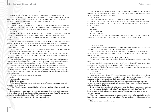\*\*\*

A gloved hand clasped onto a silver locket. Billows of smoke rose above the hills. Excavating the cave was a risk, and he tried not to imagine what it would be like buried alive under merciless stone. He had no choice, a product of his circumstance; an empty, woolen coin pouch hanging from his trouser pocket was quite telling.

At least he had his locket with him.

He flipped it open in a practiced manner, and an old woman with her eyes half-closed in the ghost of a smile stood in the image. In her arms was his own youthful visage from when he'd graduated high school. Those were the good days -- once carefree, before the Lugou Bridge Incident.

It hadn't been long since the photo was taken, yet looking into the glass cover felt like an invasion of another timeline, an alternate world where innocence remained untouched.

The rest of the crew entered the cave in a lazy trudge under the bare sliver of 5-o'clock sunlight.

He knew full well the Mogao Caves were a historical wonder, plenty of murals and statues waiting to be found and recovered and reclaimed. Invading it like this made his heart sink.

This was pure conjecture, he told himself. There had to be a good reason why they were heading towards the dark.

A click on his helmet flickered a small light onto the rugged surface. The faint outline of his grease-smudged palms was dim under his nose if he squinted.

The grotto was a maze, each unsuspecting door a portal to worlds and dimensions and universes. A spark of familiarity struck in his mind, each neuron firing and colliding at a lost memory that wasn't his.

He'd reached the epicenter of his curiosity in the form of a small room. Fully painted, murals covered the walls and finally peaked at the roof, highlighted by a circle of triangles and lines. Under the dust he imagined the vibrancy of cobalt, vermillion, viridian.

Depictions of ancient figures were plastered across the walls and carried with their daily life with a certain resplendence like it was glowing, with happiness, in the downpour of cement. His gaze swept across these paintings and took in every detail, even the gritty textures that had resulted from the years and years of wearing off, revealing the sand and the stone underneath.

*Oh, but it was a glimpse into what could have been.*

'Hello?'

He couldn't have heard that.

'Hello,' it said again.

At the center of the room was the meditating statue of a monk, a haunting, troubled peace in its eyes. He stared.

"Who- What?" He raised his chisel in front of him, a trembling defense, a tentative leg forward.

The statue stared back at him, eyes wide and unblinking. Something captivating about those eyes held him in place and petrified him with a desperate plea. 'Please,' it said, and his grip on the chisel shifted imperceptibly, 'I don't have much time.'

It was the quivering croak in its voice that convinced him.

\*\*\*

There he was now, suddenly in the position of a retired bodhisattva with a hard clay crust unrelentingly clinging, growing on his skin. Nothing budged when he tried to move, yet the view of the outside world was clear as day.

Was he dead?

The scene unfolding before him struck him with estranged familiarity as he was surrounded by yelling and khaki and red and blue and white. Flashes of different memories, completely different moments left him with a wide-eyed strain on his head, and suddenly he could feel so much.

Soldiers.

Lightning.

Warner, Langdon.

Unwilling betrayal.

A zephyr of time flurried past, leaving him in the aftermath, but he stood, immobilized against waves crashing onto the shore and fracturing the cliffs with a loud crack.

\*\*\*

'You were the first.'

The old monk's voice grew sentimental, emotion unforgotten throughout the decades. It would smile if it could, but not without a desolate glint in its eyes.

The statement was a wisp of air drifting in his head. He was still stuck to the ground, his feet suddenly becoming heavier with the memories the monk had given him, one for the price of eternal agony.

Yet another unspoken, unanswered prayer hung in the air.

"I have to go," he sputtered, and the light flickered. He didn't dare look the monk in the eyes.

A pause. Suddenly he could move his legs again. 'I know,' the monk's voice echoed from the distance of a long tunnel - did he imagine a sob? - 'go, then, young one.'

It'd lost grip of the last filament, silver that lasted for centuries living the final moments of its waning. Now, he was ready.

*Was it worth it?*

*No, no, it wasn't.*

Trust, misplaced, gave the monk's lifeless silhouette a strange sheen where its eyes should be. The monk sat with copper palms meticulously placed, fingers pointed upwards, a fruitless attempt at finding its last salvation. A final, futile sacrifice to the Buddha.

It was its choice to end up like this, after all. It was idealistic once, aiming to redeem the good of humanity; silver threads delicately woven to form a cape, a symbol of heroism, fighting, fighting for the better.

It was until the light completely faded from the room that the excavator stopped walking.

A swirl of memories in his head, "please" and "I don't have much time" and "don't leave" brought to the forefront, memories that weren't his, that never meant to be his, he convinced himself.

There was a commotion outside the cave now, muffled yells reverberating in his ears. He knew they were looking for him. A stern telling-off he already knew would come out of his other ear.

Bile danced at the back of his throat.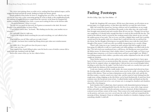The voices were getting closer as reality set in, yanking him from spiritual stupor, and he snapped his head towards the monk, finding no longer the bronze gleam.

Hands grabbed at him before he knew it, dragging him out of the cave. But he only had eyes for his own oasis, at the coruscating springs he went to think; at the neighborhood park, the tinkling of laughter he never scraped from the concrete; at the home he imagined his mother would be, knitting in her chair, a warm meal waiting for him on the kitchen table.

*...The good of humanity. What's it to you?*

The sun was too much for him now; he'd gotten accustomed to the dark. He stared blankly at the tattered miner in front of him.

"Can't believe you're alive," he heard, "Was finding you for days, your mother was so worried—"

*You could make a run for it right now.*

"I lied to the sergeant about searching for you and everything, we can't afford to lose more—"

*What would you even do? How could you ever make it better?*

"—people, you know how worked up Zhang always gets when new reinforcements arrive—"

*You couldn't do it. You would never have the power to stop it.* 

"Hey, wait, are you—?"

That crippled him, hands falling in place onto his head as ones of similar contour did so many years ago, burdened with the light.

And in the corner of his eye, he saw a flash of silver.

# **Fading Footsteps**

*Pui Kiu College, Ngai, Ngo Nam Markus - 15*

People die, kingdoms fall, aeon passes. All the traces that remain, are all written on an ancient paper, or a fragile pottery, so that their tales shall live on until the end of times.

Silky soft winds blew passed me, leaving a delicate trail of youthfulness on my rough skin. It's not everyday that the wind blows this gently, in the other days, the wind would have brought some pointed sand and scratches them all over my face. Though I do not have any complaints, it is already lucky enough that there is wind on this terrifically hot day. The sound of the delicate wind is covered by the creaking sound of the wheels on my cart and the sudden groans of my mule. The tea in my cart leaks a slightly bitter smell, but is quickly carried away by the gentle wind, it is a shame that I could not brew the tea and heal my dry throat, but the thought of brewing tea was quickly blown away with the wind when I thought of the money I could earn after successfully transporting tea to a nearby village.

There's still a long way to go. I patted my mule and gave him half an apple to keep him going. It's difficult to walk on a small sandy trail while pulling a cart filled with tea for days. The soft wind soon transformed into a cold breeze, the blazing sun soon turned into the lifeless moon. It's about time I find a shelter where I can pass the night, we'll have to go through dunes tomorrow, so it's best to settle down and have a good night's rest. While I was looking around to find a shelter, a peculiar rocky surface imprinted on the side of a hill caught my attention.

Upon further inspection, the rocky surface has a structure merged into it, layers upon layers of what seems to be an ancient pavilion-like structure, with an inviting grand entrance that has lost its original colour, its original glory. I did not have any second thoughts before deciding to settle there for the night. I tied the leash of my mule on a nearby fence post and walked inside the darkness of the mysterious structure.

I took out a lantern and lit the candle inside, the warm sensation had relieved me from the freezing night, and the darkness was slowly eaten away by the candle, revealing the bare details of the interior. There are hints of plantation on the cracks of the wall, and the dry dirt floor makes a crunchy sound every step I take, and the sound of water leaking from the rough stone ceiling, dripping on the dirt below can be heard rhythmically. It must have been centuries since the last person went in here. I walked further inside and found out that the structure, which turned out to be a cave of some sort, is arranged in chambers and chambers, almost like a lost dungeon.

Each chamber that I walked into, there's potteries with diminished patterns laying on the floor. They were indistinguishable from the dirt they sit on, some with a large amount of dust and mold, some with cobwebs and moss, some are shattered, all their sharp pieces scattered across all four corners of the room. There seems to be words and pictures imprinted on the pottery, and some even were carved onto the walls, but I could not comprehend the meaning of them. Intrigued, I kept on walking from chambers to chambers, hoping to locate something valuable I could sell.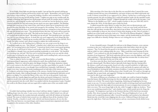It was bright, sharp light rays piercing my pupils. I got up from the ground, picking up my wooden staff in an instant and faced my enemy once again. "Remember, you need to keep your balance when striking." A young lady holding a bamboo stick reminded me, "It will be the end of you if you trip and fall during a battle." I tighten my grip on my wooden staff, the sunlight is blinding, but I ignored my disadvantage and got ready for another attack. I dashed towards her, and swung my wooden staff with force towards her, but she blocked my attack. I instead aimed for her legs and swung, but my attack was once again repelled. The blinding sunlight had caused me to lose vision of her, and I had no choice but to swing fiercely at her general direction, but none of my attacks had managed to hit anything. Then out of nowhere, I felt a sharp pain on my chest, as if something had struck me, causing me to lose balance and fall onto the ground once more. "You performed better this time, but you're still no match for a bandit if you meet one in the wild." She held out her hand to me, "Thank you, Fei" I said, as I reached out to grab her hand." She pulled me up and said "You should go now, you know you can't be seen training with me. A monk like you aren't supposed to learn things like this, and I shouldn't either." I picked up my wooden staff, then waved goodbye to her and left. For a monk, I'm rather curious, and I always wanted to explore the world around me.

As I walked out to the bustling street of Khotan, my eyes swept across the shops to see if anything caught my eyes. "Hey old pal," a familiar voice called out to me from the town gates, "are you going back to the Grottoes?" I turned my head to find a town guard speaking to me, he was an old friend of whom I used to play with when I was younger. "Hey Xing. I was about to, though I have not found anything worthwhile to write about." He chuckled in a mocking way, and said "Oh I bet you've traveled through the seven seas and the whole world is just so boring for you. Just look around while you're strolling back, and you may just find something that interests you." "Yeah, yeah."

I hate to admit it, but he was right. I've never seen this flower before, so I quickly tried memorising it's appearance and its distinctive smell, then strolled back to my original destination. There it is, with all its glory, the Mogao Grottoes. The sharp, distinctive colours are in total contrast to the dull rocks it's mounted to, just like a gem hidden in a geode. I walked towards the entrance in awe, even though I have travelled here constantly, I still admire its beauty every time. I greeted the monks standing guard on both sides of the entrance and walked in. Sculptures and poems laying on podiums in the entrance chamber had my gaze gravitated towards their beauty. After walking through a few chambers and admiring the delicately carved pottery on display, I've reached the library of the caves. As I sat on the ground, I took some blank scrolls out, I gently dipped my quill into the ink jar and started writing on it. I tried my hardest to recall every nook and cranny of the unknown flower I had encountered on my way and documented it into the scroll. After I was satisfied with the documentation I made, I handed the scrolls to the library keeper and once again left to explore more of the vast outside world.

### \*\*\*

I couldn't find anything valuable, but at least I still have shelter. I sighed, as I continued walking deeper into the ruins. I came across a barricaded door, which looked very old and fragile, I grabbed onto the wooden barricade and pulled, and it fell off without me breaking a sweat. The room of which it had covered was very different from all the chambers I have been in. Usually, a chamber is small, with cobwebs and shattered pottery all over the dirt floor. This one however, was much larger, and it almost seemed more organized and cleaner compared to the messiness of the other chambers.

After sneezing a few times due to the dust that was unveiled when I entered the room, I walked around and saw rows of bookshelves, and most of them were filled with books and scrolls. It almost seemed like it was supposed to be a library. I picked up a scroll laying on the wooden ground, the ink was fading, but I could still somehow make out the intended words. "A newly discovered flower: Orchid." I flipped through the scrolls and on the last page, I saw "Written in the Buddist year 1550", which roughly translates to the year 1006 AD, and it's now almost the 1900s. So this library goes a long way back.

I walked around the entire library to make sure there were no threats present, and decided to spend the rest of the night in the library. I took out some books and laid them onto the cold and dusty wooden floor, then laid on top of them. The hard book covers are far from comfortable to sleep on, but at least it's better than sleeping on dirt. Out of curiosity, I grabbed one of the books and took a look at it, "The fall of the Khotan Kingdom". I flipped through it and found out most of the pages were empty, and the handwriting on the first few pages were difficult to identify. Perhaps whoever was writing this was in a rush?

\*\*\*

It was a beautiful sunset. I brought Fei with me to the Mogao Grottoes, even a person as serious as she was, I still noticed her eyes opening wider than before when she saw the entrance. "Say, I've heard that the guards in our hometown were training for war." She told me while we were walking inside the caves. "Why would they start training all of the sudden?" I was confused on why she brought that up. "There were rumors of war. A great invasion of our hometown." My facial expression did not move even the slightest, and I said with confidence "Then the Khotan Kingdom shall repel that invasion like we always have." Fei sighed, and we fell silent for the rest of the walk.

I sat down onto the floor, back leaned against the wall while holding an empty ink jar and a drained quill. The library had an especially lively figure this day. Staring off in the distance, small and young monks chased each other around bookshelves in light steps, chuckling and laughing in delight. While heavy scrolls and books lie against each other on top of bookshelves, bearing the hefty sensation of noblesse. I turned my attention to a blank scroll, I fumbled with it, while thinking about what I should write. Fei could see through my thoughts like an open book, and suggested "Perhaps we should go for a scroll in Khotan and you may be able to get some inspiration."

The streets of Khotan are as bustling as ever. At night, you could see lanterns hanging from the houses, like fireflies hovering over the sea of people, and every single one of them looked ever so lively. The sound of price bargaining, chattering and laughing has become music to my ears. I've never realized how much the world is revolving round and round behind your back, but from the sheer sight of everyone present, it's easy to imagine that everyone has their own story. The moon hangs high in the sky, while I struggle to fight my tiredness. "Rare to see you wandering around so late." said a familiar voice, which turned out to be Xing, the city guard. "It's dangerous to go back to the Grottoes this late, it'll be bad if you encounter bandits. How about staying the night in my house?" My mood brightened as I saw an old friend, and I accepted his generous offer. I waved Fei goodbye and watched as her silhouette blends into the crowd like water dripping into the ocean. I followed Xing to his home and spent the night there. I laid onto his wool mattress and my consciousness slowly drifted away.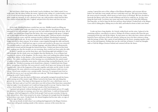My back hurts a little lying on the books I used as bedsheets, but I didn't mind. It was really quiet, like the silence before the storm. I glared at the ceiling, it's cracked surface served as it's record of surviving through the years. As I looked at the corner of the room, a dim glow caught my attention. It was a shattered wine cup, with jewelries which had lost their true colours etched onto the sides. I sighed, and proceed to lay down and close my eyes.

\*\*\*

It was dark, blinding blackness crawled into my eyes. Muffled sound was filling my ears, but I couldn't quite make out what it was. I opened my eyes, the darkness in the room remained, it was still midnight. I got up to my feet and walked towards the front door. All of a sudden, two armed men barged into the house, they were equipped with spears. I dodged out of their sights and into the shadows under the dining table. I held my breath as footsteps echoed around the room, until the ominous invaders' polished, bloodstained armoured legs halted right beside me. As my eyes adjusted to the darkness, I noticed the unfamiliar badges attached to their armours. In an instant, a spear impaled through the table and barely scratched my left ears, I held back my urge to scream and watched as the spear was extracted. The invaders spoke to each other in a foreign language, and silent followed. Momentarily, they turned around and left through the busted front door. I halted and observed the front door, making sure that the invaders are not returning, then crawled out from under the table.

In shock, I quickly ran out the front door, and a horrifying sight had unfolded. It was still midnight, but the whole town was brighter than the blazing sun. A sea of flames had engulfed the entirety of the kingdom. On the streets, there were nothing but soldiers laying on the floor, lifeless. In the distance, a few townsfolk were being hunted down by enemy soldiers. The subtle crackling noise of fire burning was overwhelmed by the united sound of soldiers yelling an unfamiliar army motto, with unseen flags waving blocking the view of the night sky. Terrified screaming can be heard from a distance. I dashed back into Xing's house, attempting to find him, but soon noticed a small, sliced open note laying on the spearimpaled table. I pieced the fragments of the notes together and make out the words. It reads "Morning pal, the army ordered us town guards for some urgent business while you were asleep, I heard some outsiders were causing trouble. Anyways, I've prepared some food on the table for you in case I am not back when you wake up." My heart skipped a beat when reading the scroll. I had to find Fei.

As I dashed out into the dead-air filled street, and quickly navigated towards her house, while staying out of the enemy's sight. When I arrived at her house, the only thing that greeted me was ashes. They kept on blowing past me from Fei's once called house, now an inferno. My heart sank as I saw Fei's only shoes were left in front of the front door, untouched after last night. I was devastated, yet I could not bring myself to tear up. I had no choice but to leave them behind, I had to warn the other monks of the horrifying news.

I sprinted and sprinted, without looking back, nor did I look around and see if I caught any attention, I just kept on running, out of my once called home. I could not bring myself to imagine what had happened to all the lively people I had seen just yesterday, living out their normal lives. After what seemed to be aeons, I had gone far enough from the kingdom to hear silence once more. I looked back, the distant kingdom had become ashes, no sign of glory, no sign of legacies, only ashes.

I let out my breath of relief when I saw nothing had happened to the Mogao Grottoes. There were still guards standing outside of the entrance, unaware of the storm that was

coming. I spread the news of the collapse of the Khotan Kingdom, and everyone did not believe me until they went outside and saw it with their own eyes. We had to leave before the storm arrived eventually, which meant we had to leave it all behind. We have decided to barricade the library and so the records of Khotan and all of us could live on. As they were doing the hard work, I sat down once more and wrote a short record of the fall of Khotan. Not long after, we had to hope for the best and leave them behind. I looked back at the Mogao Caves and it's fading glory, hiding away in the shell, and looked in front to find a new home.

\*\*\*

I woke up from a long slumber. As I slowly walked back out the ruins, I glanced at the remaining artifacts, unscathed or in pieces. Perhaps all of them contains tales from the past, containing all the joys and all the despair. As time passes on, their tales loses colours and were buried by layers and layers of dirt and cobwebs, losing any traces for their existences along with the passage of time, like a grain of sand sinking into the desert, merging together until they are lost and forgotten. Perhaps that was the cruel fate of history. I casted my thoughts aside as I left the Mogao Grottoes behind and ventured off into the dunes.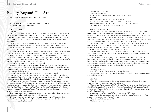# **Beauty Beyond The Art**

*St. Paul's Co-educational College, Wong, Cheuk Chi Cherry - 15*

They held a secret for 1656 years, waiting to be discovered. It was a long wait. And a long story.

### **Part I: The Spirit**

### 1900 A.D.

I screamed in anguish. We all did. Callous elements!– The wind cut through our fragile skeletal bodies, diminishing our white auras; the floods drowned our souls and suffocated us; the forest fires – our greatest fear – trapped us amidst murky smoke, blinding us, and the sparks of fire sizzled our throats, the crackling of the fires burning our mentalities away – it was horrible.

Elements were the only thing that could harm us, yet they hurt us hard. We had been human, after all. Humans were always vulnerable, down to the soul, even after death.

We checked each other. Most of us were recovering from the blizzard that occurred the week before. And mourning.

It was a complete whiteout. The caves were entirely enveloped in snow. The temperature dropped to negative. The snow piled up against the entrance, a thick heap of bony white, too thick for any spirit to see through – we wouldn't risk floating through – the possibilities of getting stuck within the snow were too high – besides, even if we left the caves, there would be a wintry snowstorm out there, waiting to engulf us – and we would be like pigs for slaughter, sliced through a million times until we…

*Dismantled.* That's the word. The demise of the soul.

So we allowed ourselves to be locked inside the caves with no air. Couldn't hurt, we thought at first. Spirits did not need to breathe. But our skeletal structures turned increasingly transparent with the cold. It wasn't long before it was reported that a spirit from the adjacent cave – cave 16 – had fallen apart.

*Dismantlement* was always horrifying to watch. The cruelest death of all.

As a human, even when you knew you were going to die, you would still have hope. Some tiny bits of hope, from all the religions and fiction inculcated into you during your life, that death was not the end of all. You could dream and imagine what lay beyond.

*And yet the demise of the soul is the denotative meaning of finality. The body has worn out, and now it's the soul's turn. The skeletal structure of the spirit becoming too thin, too diminished, too colorless, too trivial to support its existence. And the day comes when the mists of the spirit split apart and diverge, fading into dust. The spirit will never reach enlightenment. The end of all. Endgame. It is ended by the nature of the world. It has lost, and the end dominates it despite its unwillingness to go with it. The darkness encases it, but it can do nothing.*

This was never supposed to happen. As spirits, we were supposed to reincarnate and relive until we became enlightened. It was the way of Buddhism.

We thought everything would be good after the intervention of Yuezun the Great and the Thousand Buddhas in 366 A.D, with the gateway secured and tied down. But reincarnation stopped again eventually.

We found the reason here. The gateway was gone. All of a sudden a high-pitched squeal pierced through the air. Cave 16. I hesitated, wondering whether I should intervene. *No, don't go.* Another spirit caught me. *You can't fight the murals.* I looked through the crack in the wall at cave 16 and glowed in despair. We should never have come to the Mogao Grottoes.

### **Part II: The Mogao Caves**

You once adorned us with murals of the utmost elaborateness that depicted the tales of Buddhism, filling us up with sculptures of worship, scrolls of literature, and textile embroideries, and we were honored as the natural beauties of Buddhism. We served faithfully as shrines for meditation, worshipping, and pilgrimage, protecting the sacred art and intersecting cultures along the Silk Road with our bodies throughout decades. You enthralled us with your capability of the infinite creation of beauty. We were proud of you.

We reached the apex during the dynasty you called 'Tang'. The female empress handed down the edict to construct two of the largest Buddha statues within us – amazingly exquisite, ornamented with patterns, gleaming with golden glory –

It was our climax. Our last triumph before the downfall.

The Silk Road fell into decline as you all resorted to the sea routes for trading. We were forgotten entirely. You dumped us out of your lives like huge chunks of toys you have finished playing with.

The scorching sand poured into our mouths day after day, choking our throats and burying us. The wind was brutal with us, eroding our faces and planting holes in our bodies. Acid rain melted right into us, peeling off our skin as we stayed put, agonized. Our jaggy structures dissolved over time. We mustered all our strength to keep ourselves from collapsing, always believing that you would come back for us one day.

You did not.

We started collapsing.

Stressed from spirit to body. Drained of vigor and energy.

We collapsed, one by one. The ones left were heavily bruised. There was only one thing they could do to survive.

### 1600 A.D.

*Chang Jia ventured into the Mogao Caves, instantly amazed by the delicate murals portraying Buddhism. But there was something eerie about its beauty.*

*The caves grew dimmer as he trekked further. Specks of dust covered the ground. Cavities came into view. The wind howled softly, sweeping through the holes of the eroded walls. His head ached. Maybe it was the cold. When was the last time someone visited the place? He held his hand out and the murals seemed to glow… with life.*

*A low moaning sound rang out and Chang Jia spun around. 'Who's there?'*

*More moaning. The sounds grew louder, echoing around him, a series of elongated groans. Then someone – no, something – wept. It seemed very close.*

*Chang Jia examined the murals carefully.*

*The images were moving.*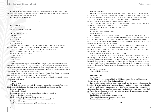*Terrified, he sprinted back the way he came, only to find more cavities, and more eroded walls – everything looked the same, more murals and more paintings, where was the light, the outside world he had come from – his head ached more, and more-*

*The ground opened up beneath him.*

\*\*\*

Spirits of the dead. Humans of greed. We will not forgive. Any of you.

### **Part III: Wang Yuanlu**

1900 A.D. *Come to us, Wang.* The Mogao Grottoes. I could hear them. They called to me.

I thought I was hallucinating at first, but as I drew closer to the Caves, the sounds amplified from a group of whispers into a noisy series of howls that thundered into my eardrums – the Caves, they were lonely, they were livid, why, why, why-

Something snapped in me and I fell unconscious.

*The spirits of the dead blared at me-*

*Help us reincarnate!-*

*Find the gateway!-*

*Restore the caves!-*

*Help us!-*

*Human-shaped paranormal misty creatures with white auras cowered in horror, staring at me with petrified looks – then I realized they were not staring at me – I looked behind me to see a crack in a cave wall, disclosing an adjacent cave in which the cave murals shimmered with color as they began to… consume.*

*A misty creature was lying on the ground, its aura reducing rapidly as its white light was absorbed by the murals. It shivered and let out an inhumane shriek-*

*An eruption occurred and the creature burst into fragments. The world was clouded with white mist before it all evaporated in an instant, leaving nothing but dust and grime.*

I sat up. Trembling, I held my hand up to my face. It burned with heat. Beads of sweat rolled down my forehead.

A dream.

I turned to leave.

A blockade stood before me. I swiveled around to see another blockade in front of me. The blockades inched closer. The dusty cave creaked with cacophonous sounds.

The cave was moving?...

'Calm down!' I shouted.

The blockades stopped moving. It was official; the Caves were alive… Restore us! The Caves demanded.

'Fine!' I yielded. But what if the dream was real…

'On one condition: Promise that you'll make the murals back off!'

The Caves did not speak.

I made the fair assumption that my spirit would not get consumed.

Once upon a time, the gateway to the world of reincarnation moved arbitrarily across China, abstract, torn between universes, and new souls that arose from their human corpses could only chase after the gateway helplessly. It became impossible to reach the gateway. The spirits of the dead could only hover around China while tied down by karma. The excruciation was overwhelming. Reincarnation was impossible.

Yuezun was born gifted with the ability to hear the spirits. They cried. And cried. Day and night. Grousing and screeching and yowling and crying.

He had to help them. He let the Buddhas guide him.

*Dunhuang.*

Peerless place. And what to do there?

*Build the Mogaoku.*

For thousands of years, the Mogao Caves dutifully bound the gateway. It was first contained within the first cave erected. As more caves were built the gateway moved across them, but never beyond. The spirits were finally able to locate the gateway amongst the caves, guided by the movement and flow of the mural images which illustrated the way to the gateway, and enter the stage of reincarnation.

Yet as the Silk Road became inactive, the caves were forgotten by humans, and they began to wear away. The elements punched through the caves relentlessly. One by one the caves collapsed, their impact cracking open the doors of other caves, one cave in particular, long before it was even discovered-

And the gateway slipped free of the Mogao Grottoes.

The Caves were enraged. Their mandate made no sense anymore. Reincarnation was once again disrupted. And they themselves were dying, both physically and spiritually, with the lack of preservation and attention. The coming of Wang Yuanlu, another rare human born with the same gift as Yuezun gave them hope, and they thought they would be saved. But Wang couldn't. He simply restored the Caves at their demand. Never did he listen close enough to the spirits' sufferings. Never did the gateway touch his mind again. Never could he understand.

He was just the second. The third had to be better.

### **Part V: Ka Han**

2022, London

'The Diamond Sutra discovered back in 1900 in the Mogao Grottoes of Dunhuang, China is reported to be stolen from the British Library… '

I ran at full speed into the library piazza as the guards scurried after me in hot pursuit, the legendary piece of work I'd taken bumping against my back in the interiors of my backpack.

All of a sudden, a row of guards popped up from behind the shrubs lined around the piazza around ten feet in front of me, blocking my way. I pulled my hood down a bit to shade my face in the dark. Lunging forward, I jumped two stories high and sprang up a column. The guards bellowed, astounded.

I melted into the dark and flew with the wind.

The cycle of reincarnation has stopped for too long.

I couldn't let them wait any longer.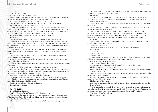### 1035 A.D.

'The Tanguts are coming!'

'Ka Han, we must go!' Bo Shan urged.

'But the manuscripts! And the Sutra! What if the Tanguts destroy them with the caves! And the gateway! If the caves are destroyed the gateway will be free!'

'Ka, for the twenty-first time there's no gateway, now let's leave!'

'You go first! You'll never understand!' I yelled back, rushing into the caves.

To find the gateway you had to follow the murals.

Holding out my hand against the murals, I closed my eyes and a vision dominated my mind. The murals on my left were moving, swirling with colors, a mix of diverse cultures. There was no time to examine the beauty. I swept my hand across the murals as I headed left, the images continuing their moving illustrations. I made a few more turns.

*The scattered caches of manuscripts. The stacks of paintings. The sculptures. The Sutra.*

*Cave 16.* The images froze. I opened my eyes. I had reached my destination.

All of a sudden the walls of the cave began to move. I looked on in admiration as the Caves worked busily. A stretched block of rock in the shape of the door cut itself out of the wall, shifting aside to reveal a small, concealed chamber. Oh wow. Immediately I chucked everything into the cave.

A small hiss arose from behind me. I felt a swell of relief as the cave lit up with light, signifying the presence of the gateway. It was here. The murals were accurate, thank the Buddhas.

For a moment I was very still. Then I rolled out of the chamber and the door sealed into the wall, locking the gateway inside.

This really was necessary. Even if the Tanguts decided to destroy every cave they saw, they wouldn't find the chamber.

A hidden library of Buddhism. And a gateway to reincarnation. What a fascinating trove of treasures.

'Thank you. I'll come back later!' I called to the caves and jogged out.

Since my first sight of the Mogao Grottoes, I knew they were different. I wasn't sure how, but I just knew. Then wherever the murals moved, I began to sense the gateway's existence. And I finally understood where my intuition came from.

Secrets were not that hard to see; you just had to understand.

I strode out into broad sunlight to see Bo Shan waving at me a couple of meters away. I rubbed my eyes and ran towards him. Just then a Tangut soldier dived out of the sand

right behind Bo Shan and raised his sword.

Gasping in panic, I leaped forward just in time. The blade cut my throat.

### **Part VI: Ka Han**

2020, The Motto Grottoes

*Ka Han. We know what you have become.* The Caves bellowed.

'The damned, the undead, whatever you want to name me. On the bright side, as part of the dead, I am finally able to talk to and help you all. I can hear spirits as well. Benefits outweigh drawbacks.' I said boldly.

*We remembered you as a charming girl who dreamily talked to caves. And look at you now-*

'In my 987 years as a vampire, I spent 900 years holed up in the West adapting to sunlight and the last 87 reintegrating into the society-'

*Outrageous!*

'I did not drink anyone's blood. Instead of trying to accuse me why don't you look at yourselves! Your mandate! To protect the Buddhism artwork and contain the gateway-'

*Don't – mention – the word!*

'Grow out of it! Just because the gateway escaped doesn't mean you need to act sullen and everything-'

*We were abandoned by humans for centuries! Crushed by the elements! Our bodies, torn to pieces! Do you know how many of us collapsed-*

'And that gives you the right to absorb the spirits of the living? Chang Jia? I did my research before I decided to come back here! And the spirits of the dead? Instead of encouraging them to find the gateway out in China, you lured them in here! You let the murals feed on their spirits to maintain their colors! I heard cave 16 was a hotspot-'

*For survival-*

'Wang Yuanlu has been restoring you all since the 1900s. Yet you continued to exploit the spirits of the dead, if not the living!'

*The gateway is still missing!*

'Mogaoku! What's the point of your mandate of containing the gateway?'

*Reincarnation-*

'For whom?'

The Caves fell silent.

They understood.

Sighing, I took the Diamond Sutra out of my backpack. 'With the gateway out in China,

it'll be much more difficult to track it down. But family tracks family.'

*How are the Sutra and the gateway related?*

'They both cut through the world.'

Silence again. They didn't understand. It was fine. They could think about it.

I had one more surprise for the Caves.

I took a deep breath. 'But I won't bring the gateway back, Mogaoku. I'm going to destroy it.' *What are you playing at!*

'It's time to reform reincarnation. Why can't reincarnation be more straightforward? Why do we need a gateway anyway?'

*Ka Han…* The Caves sounded desperate. *The gateway is said to be created by the Buddhas themselves. You'll risk your life destroying it.*

I had thought of that before.

And yet… no human could feel or track it, and the spirits were enervated by the murals. It had to be me.

'I never intended to come back alive. I came here to say goodbye, Mogaoku. Remember your other mandate. Keep the artwork and murals well. They may not be used for finding the gateway anymore, but beauty is never there for nothing. Otherwise it's not beauty.'

*Why are you doing all this, Ka Han?* For the greater good.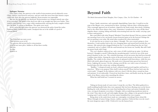### **Epilogue: Narrator**

Once upon a time, the gateway to the world of reincarnation moved arbitrarily across China, abstract, torn between universes, and new souls that arose from their human corpses could only chase after the gateway helplessly. Reincarnation was impossible.

But one day the gateway was destroyed. Reincarnation was changed entirely into what it was nowadays. The spirits of the dead were able to go straight into their new bodies. They could be here leaving a new corpse while simultaneously entering the body complex of their new life form. A reform in Buddhism. The spirits were saved.

It was said at the spot where the gateway was destroyed the police found the stolen Diamond Sutra, tucked safely inside a backpack that sat in the middle of a pool of crimson blood.

\*\*\*

The Caves had one more secret. Their greatest secret of all. The gateway did not just lead to reincarnation. It led to one more place, hidden to all but those worthy. Nirvana. *Ka Han. Speak to us.*

# **Beyond Faith**

*The British International School Shanghai, Puxi Campus, Chen, Yu Chi Charlotte - 14*

Dunes. Sandy, mysterious, and constantly shapeshifting. Some days, I would sit on the steps of the Mogao caves, mesmerized by them, watching a delicate dance of fleeting glory. They seemingly appeared out of nowhere, shaped by the harsh winds, then slowly vanishing back to the ethers from whence they came. Sometimes I wondered if we were all like those shapeless dunes: existing, fading and finally reincarnating back into the world, carrying a past in those sand particles.

But a past filled with what? Regret? Mistakes? Unrealized dreams? Did our existence hold any meaning if not to live out karmic lessons bestowed upon us by the heavens? Perhaps the sun was getting to me today. My mind often wandered far when unattended.

It was time for me to return to my duties, I thought. The caves weren't going to clean themselves. I took another look at the ever-changing dunes and started back towards the cave entrance. My tattered robes dragged behind my feet. I was still reeling from the sin I had committed, and as I walked, I felt the sand beneath my feet berate me, harshly. But still I held my prayer beads with I hope.

The cave's shadows embraced me, and a sense of chill crawled up my spine. As did my betrayal, I thought to myself. Following the meandering path, I arrived at one of the most prized chambers in the cave. The colourful drawings carved out stories that had been foretold a million times before. Among the stories of the past stood eternity in the form of a statue of Buddha. The crinkle in the corner of his stone eye gleamed with benevolence, while his eyes, filled with mirth, glanced upon me. His smile seen a thousand times graced my furrowed brows. Lighting the incense, I let the calming scent fill the cave with a sense of serenity. I kneeled upon the thin cotton mat, seeking redemption.

"Buddha," I whispered inside my head, calloused hands pressed together and head in a deep bow. "What is my purpose? How shall I redeem myself? Please lead me back onto the correct path," I begged. In the darkness with eyes closed, I felt the silence around me hum and murmur. It was unbearable. I bowed my head three times, and finally stood up, the gentle rustle of my flimsy cotton robes unsettling the silence.

What fate shall befall me? I awaited an answer.

\*\*\*

Taking my broom made of coarse straw, I swept the cave floor. The debris gathered in a small trembling bundle before they were separated, like lost leaves floating away on the breeze. Battling the work of humans was easier than battling that of time and nature.Gradually, time wins, carving its footprints everywhere, I thought, with an underlying murderous intent in the wind. Time takes its toll, and with mighty thumps, they collapse to the ground in heaps of weeping sand, I said to myself. It was how nature brandished her own weapons.

Being alone in the sandy desert made me contemplate everything I knew about life. When I thought of nature being a brazen, ruthless equalizer, I believed that even she wasn't the most dangerous aspect of life. I believed it was the human heart.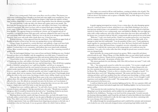\*\*\*

When I was a young monk, I had come across these caves by accident. The journey was much more challenging than I thought as my food and water supply were running low. On one chilly night, I realized that I was lost. Falling into despair, I slept under the embrace of three large boulders, shaped like a crescent, which casted a long shadow from the alabaster moonlight.

The next morning, I woke up with a dry throat and a gritty taste in my mouth. The heat from the blazing sun had a great effect on me, and within a few hours, I was suffering under its heated gaze. My vision was hazy with occasional black spots tainting the edges of my vision. Under the effects of the blinding sun, I had a thought: I was enduring a test from Buddha. The supreme being was teaching me a lesson: one of anguish and one of normality. I accepted the lesson with open arms, and soon collapsed in the sand. It was soft and welcoming, filled with warmth. I lifted my eyes to the sky in an attempt to spot Buddha. However, there were only stark white clouds above me. I closed my eyes.

Without warning, a vision appeared from the sand dunes. The magnificent upper body of Buddha sat gently in front of me, his wise eyes gazing down on me with kindness.

Lifting a finger, he pointed in a certain direction, and suddenly, a large rock burst forth from the sand. It shook the ground around me, and as sand flowed out from the gaps and hallows, I realized that it was a mountain, with hollows that were tinted with wonderful colours. More seemed to emerge, as sand filtered out of the caves, like a stunning waterfall of golden light.

Alas, the land stopped shaking. I was a mess of tears and shock. Rubbing my eyes, I looked forward; yet there was no Buddha, only the magnificent caves fully intact. I ventured in and discovered a closed room, containing precious relics and ancient artifacts from centuries ago.

I found shelter in the caves until I was ready to move on. Miraculously, the town centre of Dunhuang was close, and within a few hours, I had found the temple.

I excitedly told the masters about the cave, and led them there. They all fell into a gasping bundle of disbelief, saying that it was 'a gift from Buddha,' and left me to manage it.

A few years had passed and the caves started to become an excellent site for meditation, as various monks reported to have almost ethereal realizations there. The increase in numbers, however, caused my supplies to diminish quickly, and when I sought help from the masters in the temple, there was no response. Soon enough, I became very poor. I had thought about selling the relics in the secret room, but doing so made a heavy dollop of guilt coat my heart.

Then one day, a foreigner named Aurel Stein came to the caves, mesmerized by the artifacts there. He came from the Silk Road to trade and had heard of the wonderful things offered in the caves. He offered an extremely low price for the items, yet I was hesitant. I had asked for a higher price, but he had declined, saying that there was no one who would propose a higher price and I'd be lucky to take him up on his offer.

"Judging from your condition right now," he said with a heavy accent, "you seem to be in need of money and support." His lips stretched into a sly smile. "Would you reconsider taking my offer? It would be beneficial for the both of us." Something clicked in my heart, and a sense of defiance and bravery overtook me. We completed the deal.

Watching Stein load the camels with bags of ancient relics, my body felt numb. It was as if each artifact carried with it a spirit. It was the spirit of Buddha in its many incarnated forms. They didn't want to leave this place. It was their home after all. And me? I sold them at the first opportunity I had, my selfish human heart forgetting my promise to the holy one. I realized then what sin I had made. It was my greatest offence for which I had no defence.

The empty cave seemed to fill me with loneliness, creating an infinite echo of guilt. The sound of wailing spirits and the memory of the scornful gazes of the monks pierced my heart: I did not deserve the kindness and acceptance of Buddha. Still, my faith clung to me. I knew there was a reason for this.

\*\*\*

A gentle tapping interrupted my reverie. It was a cotton shoe, the soles thumping against the rock. I raised my broom in alarm, afraid that it was a thief likely thinking it was easy to steal precious artifacts from a cave guarded by a weak monk. I was quite relieved to find that, instead of a burly thief, it was a young monk, naive and faithful to Buddha. He wore light grey robes with a white undercoat, and a pair of black cotton shoes that were dirty and muddy. In his brown eyes, I seemed to find my old self: a young monk with no greed nor sin on his mind.

"Welcome," I said, voice harsh and dry. I hadn't seen another person for a very long time, and the company of the young monk gave me immense joy. I gave him a light smile, in an attempt to make him feel comfortable. "I am the guardian of these caves," I said, putting my hands together in a praying position in front of my chest. My heart clenched and it thumped unbearably in my chest. My bowed form, I imagined, was now vulnerable to any criticism or disrespect. I could feel the curious stare of the young monk, yet I could not sense his intentions. I was only a few inches taller than him, though his proud stance seemed to tower over my slumped body.

Quite hurriedly, the young monk returned my gesture. With a respectful and almost relieved smile he said, "Master Wang, is it? May Buddha shine on your whole family and pray to accompany you forever. Thank you for accepting me, master!" The sound of his voice was crisp and filled with youth - the promise of better days.

"My utmost gratitude for your blessing, child. How did you know my name?" I said, with an uncertain smile.

"Ah…," the young monk seemed to realize his own mistake. "I-it was just a simple guess!" His gentle laugh, filled with faultless innocence, convinced me. A silence hung in the cave for a few moments before the young monk spoke again. "My name, which was given to me by Master Wu, is Ming Jing." A heart as clear as a stainless mirror, I thought to myself. "I've heard about these caves a lot," Ming Jing continued, "My master said that these caves are calming and silent, and if one meditates here they will gain more knowledge, as if they could arise from mundane thoughts! I should thank you once again, master. I never thought I could experience such intelligence in this world!" The young monk's eyes shone sincerely, a childlike amazement in his brown eyes.

I could not help but smile at the emotions lighting up his face. He was a genuine child, and I believed that his master had indeed taught him well. Shuffling slightly, I set my broom down against a pillar.

"Your sincerity has truly touched me. Do you want a tour around the Mogao Caves?" Ming Jing's eyes lit up immediately, and he nodded, his eyes glittering in excitement. I chuckled at his childishness. Turning so my back faced the young monk, I treaded onwards, my footsteps faltering slightly, until I heard the soft thuds of cotton that followed close behind. Satisfied and relieved, I continued to walk, the slow snaps of my torn shoes contrasting with the warm thumps of his leathery sandals.

We walked through the meandering pathways and I could feel his curiosity and excitement as he looked in awe at the intricately designed statues and paintings kept hidden inside the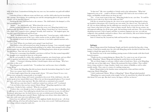belly of the beast. I remembered feeling that way once too, but somehow my guilt still riddled my body.

I introduced him to different rooms and their uses, and the child soaked up the knowledge like a sponge. Nevertheless, his wandering eyes and the anticipating glint in his gaze made me wonder: was he here for a reason?

Finishing the tour, I led him back to the entrance. The child looked a bit slumped, as if he had something to say.

"Master…" the child finally said, "What about the secret cave…?"

I looked at him incredulously. He knew about the secret cave? Ming Jing looked at me apologetically, his cheeks a rosy red. "Sorry, Master Wang. I heard there are a lot of ancient relics there, and I wanted to have a glimpse! Actually, don't mind me." He laughed again, but this time more of an awkward and forced one.

"Well," I swallowed thickly, "I guess I forgot about that." I stood up again, visibly shaken. I led him into the deepest parts of the caves, where torches set the air ablaze with its flare.

The amount of voices in my mind began to increase, it was both a spiteful murmur and a hateful wailing.

Liar! Thief! Where do you think you're going? Come back here!

Their hollow echos still terrorized my mind, keeping me hostage. I was constantly trapped in this cycle of torture, their gnarling hands grabbing at my ankles, their pronged teeth etching painful marks into my brittle skin. I shuddered. Did Ming Jing know about my past mistakes? He must know. Then why isn't he showing it?

Perhaps he's a messenger from Buddha, sent down to kill me? Yet that seemed impossible! My thoughts were running far from me at this point.

No, he can't possibly be a killer. His confident navigation, sure-footed steps, and eyes filled with recognition said otherwise. I finally halted my steps, turning around to face him.

"Child…," I hesitated, debating whether I should inquire about such things, "Why have you come to this cave?"

Ming Jing gave me a puzzled look. "To meditate here and become closer to Buddha, master Wang."

"Yes, I know that Ming Jing. But did you know about the horrendous things that I've done?" There was a pause, heavy with my anxiety.

A short laugh erupted from the young monk's throat. "Of course I knew! It was a very famous story among the young monks at our temple."

Again, the silence hung, and I stared, astonished at his reveal. If the child knew, why did he not speak in low, hatred-filled voices? Why is he not throwing spiteful glances? Fear ensued my heart, and I took a faint step back. Was this child truly as untrained as he seemed?

"Why did you come here then? I could have tainted you with my evil!" I exclaimed.

"I do not believe that you have sinned, Master Wang." Ming Jing regarded me with seriousness. I looked at him, confused. "What do you mean?"

"I believe that, even though we have to endure suffering tobecome closer to Buddha, there is suffering to an extent. Your suffering has already been over, however to you, it is still there." He paused, glancing at me, his dark brown eyes now an infinite pool of knowledge. "You have put this suffering upon yourself, Master. Suffering is not always what others inflict on you, you could cause your own suffering as well."

*I caused my own suffering? Could it be true?* The epiphany finally dawned on me – all of my earthly suffering, all of my self-realized agony, was of my own accord. I held myself prisoner for so long without seeing the truth of it.

"Is that true?" My voice trembled as I slowly took in the information. "What had happened to me so far… could've all been an illusion? All I had to do was to believe and forget, and Buddha would release me from my sin?"

"Yes… if you want to put it that way," Ming Jing looked at me, eyes firm. "It could be hard for you to take it in, but it is the truth you seek."

I felt the air around my being stir, the voices in my mind clawing desperately to keep me bonded to that prison cell I created in my own mind. Yet, there it was. The truth of it all. Life was about suffering, but the suffering was caused by my own need to be free. And now I knew what had to be done. I had to forgive myself. And so I did, for my actions, my self-imposed suffering, for all the pain, guilt, and mocking words and stares. The excruciating shrieking increased, wails of agony and false accusations ringing in my ears, yet with my willpower, they gradually returned to silence. Peace and clemency, like never before besieged me, tossing me into a warm embrace.

And so I found my life, beyond my faith and beyond the ever-changing sand dunes.

\*\*\*

### **Epilogue**

Master Wang entered the Dunhuang Temple and slowly stretched his legs after a long journey. It had been months since his visit with Ming Jing and he decided to find him at the temple to thank him again for his wisdom.

He found his way to the main building, passing rooms of silent monks with their heads bowed in prayer.

"Thank you for accommodating me, Master Hu. I've come to see one of your wise monks, Ming Jing," Master Wang said, putting his satchel down on the ground.

"We are always happy to welcome a fellow seeker of truth here. Now, as for Ming Jing, I will take you to him right away," Master Hu motioned for him to follow. They walked down a long corridor to a large chamber. Inside were statues of Buddha as well as other notable monks. They came to a statue of a smiling young man.

Master Wang looked at the familiar statue staring back at him and then read the engraving: Master Ming Jing.

"I don't understand, Master. Where is Ming Jing?" Master Wang looked puzzled.

"Ming Jing was a great monk at this temple. In fact, he stayed here his whole life until he died about 100 years ago. But don't worry, his legacy will live on forever."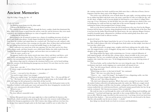# **Ancient Memories**

*Ying Wa College, Cheung, Ka Yui - 15*

### *27-09-1337 23:51*

The flaming moon hung over the silent sands.

*"I dreamt of the blood moon rising..."*

The crimson eye was barely visible through the heavy, sombre clouds that dominated the skies. Dim scarlet beams escaped from the narrow vents few and far between; they were much welcomed, for a menacing lighthouse in a time of anguish is better than none.

*"Calling from the netherworld…"*

Surrounded by the ill-natured creation was a cluster of crumbling structures of rock-cut gravel and cloudy glass planes. Gentle fingers brushed the latest layer of soot and cobwebs away from the window and wiped them on a cracked wall. The hand was soft, unlined, with four vicious, erubescent lines criss-crossing over the palm, three of them short and horizontal, the last cutting from between the second and middle fingers to the fragile wrist.

Hard, anthracite eyes stared out of the tiny opening. Oh, how they used to love those endless flaxen sands, and these homely caves called home! Before the sickly trader from the Tianshan Mountains brought the plague, and soon there were no traders at all…

*"Softly the vespers cascade to me…"*

The gigantic knells in the chaitya struck nine times, thrice and thrice and thrice, each more stately and imposing than the last. They were meant to be tranquil, to soothe and to comfort, but surrounded by a world of red and grey they inspired fear.

The solemn elegy must be echoing in the enormous hall by now, yet he heard nothing. Were the curtains of ash blocking the passageways too heavy? Or were there too few voices left to be heard?

*"Come dance, come take —"*

A violent cough wrenched Jian-Qing's head in the opposite direction.

"Sister?"

"I'm fine — you used to love this piece — remember —"

"You used to sing it when I was younger..."

"When you couldn't sleep," she finished, gasping for breath. "Do — Do you still like it?" "Yes." His hands were already reaching out to the naphtha lamp on the bedside table, and with deft fingers he felt and poured in what little oil that was left.

A soft yellow glow illuminated the room. He washed away the thick garnet stains on the threadbare bedsheet with murky grey water and opened the door, bringing the wooden bowl with him, now ornamented with swirls of blood.

"Where're you—" "I'll be right back." The door offered a mournful creak.

Yet Jian-Mei passed away in the same night due to what would later be known as the Black Death, which would then spread along the silk road to the western world, killing twothirds of the European population in the 14th Century. Jian-Qing could not even bury her, for the pus from ruptured lymph nodes in the final stages would be sure to infect him. In

the coming centuries her body would become little more than a collection of bones, forever forgotten amid the dusty ruins of the Mogao Grottoes.

The twelve-year-old left the caves of death alone the same night, carrying nothing except for an oilskin bag filled with fresh water, the trusty camel Hu-Ga who was triple his age, and an old, dusty, weighty scroll of ancient glyphs he had found in a cave about to collapse three years ago. It was a dictionary, he had decided, but even after exploring two-thirds of the caves in Dunhuang, he could not find one single hint of the ancient language it depicted. It was nothing but instinct that prompted him to bring it along.

And so in the drowsy predawn hours the last living person who once lived in the Mogao Grottoes left his home, to journey along abandoned tracks to the fabled lands of the East. Had it not been for the darker blood beneath the blood moon, the once-glorious Mogao Grottoes would be beautiful again, silhouetted in a brilliant red that smiled gently from above and brushed the hushed sands in delicate touches.

### *28-09-1337 03:14*

Jian-Qing heard the figure long before he saw it. It was the same sizzling sound when Jian-Mei cooked salmon with olive oil bought from Arab traders on that simple, bent sheet of cast iron they called a pan.

He walked towards it in ginger steps, weighty soled boots sinking into the ankle-deep soot. He stopped before a river of sluggish, drying water; so did the figure, so did the sizzling, abruptly on the opposite bank.

Jian-Qing studied the figure with scrutinizing eyes. It wore a tattered silhouette of dark imperial purple, tall and thin like a dying cypress, almost invisible in the weary grey background. The face was wrinkled with age, and the hooked nose reminded him of a magister who visited the town once. To his disappointment there was no enticing aroma of fried fish.

The focus broke, and he realized that her eyes were doing the same. He took an involuntary step back, nearly tripping over a particularly tall mound of soot.

*"Boy,"* the old woman hissed, with the voice of a coiled cobra. It *withered.*  Jian-Qing stood still.

"What brings you here, to this land of death?" she continued.

"Water." His voice was softer than he wanted.

"There is… no… water! No longer!" she laughed. It was a disgusting cackle, one that chilled him to his bones despite the suffocating atmosphere.

"Who are you?" Jian-Qing whispered.

"Oh, don't start asking me questions. What's that you're carrying? Let me have a look," she smiled, broken yellowish teeth glittering under the ember sky. With not a single twitch of her hand Jian-Qing's scroll flew into her palm, curling itself around her fingers. The old woman studied the text with furrowed brows, and barely minute passed before her face lit up and she exclaimed, "Ah! Ancient necromancy! How wonderful!"

She took her time to read through the entire scroll while Jian-Qing stood trembling, and continued, "I am kind and forgiving, especially to dear young children like you. I shall make you an offer. With the magic inscribed on this ancient text, I can bring a loved one back from the land of the shadows — but you and the person revived must be sent forward to the future. And the only possible way for you to return — is death."

Jian-Qing was already heads over heels in reverence and thankfulness.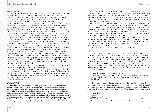### *28-09-2337 03:14*

An arc of blue fire lanced down through the graphite sky, so bright and high above that the entire night sky became as bright as molten iron; there was no telling where it came from. It was as if the entire world was set on fire, every single trestle and silhouette illuminated by the sudden flare. At that very instant came the thunder, the roar of a drum leagues in diameter, echoing across the horizon, resonating in Jian-Qing's tiny bones.

The cackling storm of energy and flame struck down, smiting the barren desert from across the horizon, bathing it in a torrent of dazzling, blinding light. It was a brilliant longsword stronger than the toughest steel. Smoke erupted from the multiple craters, dense and black and rising like giant mushrooms. Within seconds one had grown doubly as tall as the tallest mountain Jian-Qing had ever seen, and doubly as monstrous. From the heavy opaque greyness spit the pungent smell of burning and wicked chunks of quartz and stone, screaming at the velocity of a longbow shaft, rocketing into dense clusters of human bodies in a deadly hail.

Terrible shrieking screams sounded as people realized that there was nowhere to run in this battlefield with no cover, caught between the incoming fire in the front and the darts of stone and smoke coming from behind. Death ripped into the nearest backs, tearing through skin and muscle and breaking bones. For the first time the peaceful sanddunes of Badan Jilin were stained with red, flowing crimson that seeped beneath the ground.

When blood started splashing the last sense of restraint and good logic vanished; all that was left was the primal instinct to live and the simple emotion of fear. Humans, clothed in khaki, with strange buckets inverted and covering their faces, carrying long metallic objects Ling-Ping did not know, slammed into one another, running down those unfortunate enough to be caught in the path and too weak to resist. A particularly bulky one rammed into Jian-Qing, head against his chest. The young boy dodged backwards by instinct, but he could never have anticipated the tiny shard of steel that sped past him and landed behind his heel. He felt his sandals catch, then more savage impacts pounded his sides. Whether they were sand or flesh or shells, he could not tell.

Jian-Qing tried to stand, but the throbbing threatened to cover his sight with a screen of red. He sat up instead, but that hadn't been pleasant either.

At the edge of his flickering vision he found one familiar figure, in the light-coloured linen shirt smeared with dirt, prying a metal stick from the limp hands of a fallen soldier. She did not waste time looking around and ran towards the west as everyone else did, towards the falling sun gazing mercilessly from above, towards the Mogao Grottoes he had wanted so much to leave mere seconds before.

Jian-Qing followed.

### *11-03-2345 05:02*

Tunnel 230-9c was far from the only path to the library cave, operations base to the Coalition 17th Division. All these were a part of an intricate web of underground shafts and cavities called the Mogao Grottoes founded in 336 C.E. by the monk Yuezun. In the next five hundred years pilgrims and traders gathered at this key junction of the Silk Road, building more caves and creating sacred art and literature, before it fell into gradual decline and disrepair in the 14th Century. Exactly one millennium later the Mogao Grottoes found their worth again, this time as an underground stronghold of the Coalition in the Uprising of Artificial Intelligence. The complex network of tunnels were further developed, reaching an astonishing number of over 600 kilometers, sprawling beneath the chilling Badan Jilin Desert.

Coalition officers poured into the Library Cave in a steady trickle from every single tunnel in the region, and soon the snug chamber was filled, with sixty-three cramped into the muddy chamber. Most sat on the floor, while the guards either manned the battle stations or stood next to their commanders. None of them seemed to mind the dust, and few bothered to keep themselves clean, for obvious reasons: They were dressed in brown combat tunics regardless of rank, expecting to get dirty.

In the next few minutes, the officers settled themselves in a ragged semicircle around the stage. It only took a few seconds for the brief silence to give way to noise again, this time the tap-tap-tap of hard leather boots on gravel. To call it a stage would be an overstatement, for it was little more than a raised rectangular dais less than thirty centimetres in height left behind by the pilgrims fifteen thousand years ago, and a wood-and-plastic lectern a metre taller near its front, this one installed by the Coalition. Both were equally dusty as the myriad of ancient paintings and religious scriptures engraved on the walls.

The man ordered the only chair in the bunker brought to the dais and sat. It did not matter whether he stood or not; the lectern was taller than him either way. He took all the time to make himself comfortable, styling his long snowy beard and sipping leisurely from a cup offered by his guard. When he was done he finally spoke, slowly and calmly in that gravelly voice of an old marshal.

"Repeat after me: As a soldier of the Coalition of Human Nations…"

### *22-09-2345 15:44*

The camera swiveled around, its dark eye fixed on the darker figure beneath. It was a hazy one at best, the image it captured. That had nothing to do with the quality of the lens — these minute surveillance devices could hardly afford the luxury of plastic shells. And even if it could, the tiny dribble of groundwater would still be more than annoying.

It would have captured no image at all, if not for the fragile sphere of amber from a fluttering torch, held steadily at chest height as it inched forward. There were two things it outlined, each featureless as the other: the harsh, stark space of the tunnel, supported by slabs of hardwood amid the clammy dirt. And the harsh, dark form of the silhouette, making its way through the stale air.

"What is this? I expect better from you, Jian-Qing."

"I did all I can. Communication tunnels are too cramped to install anything but XC-03s." "At least you had the sense to use one with infrared equipment. Turn it on." "Yes, Master."

Colour began to appear on the inky output, red and yellow and blue and purple. The torch was red, with the area around it fading gently into orange and yellow, then the blue of the tunnel. The figure was yellow, bordering chartreuse. The only unexpected detail was a straight, slender strip of indigo, slashing abruptly down from the figure's waist to the ground.

"What is that?"

"Master?"

"The purple line."

The boy did not reply. They were standing before a set of monitors arranged in a neat semicircle on a large desk, each of the screens displaying a similar image of underground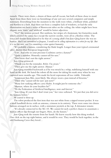tunnels. There were chairs, a dozen of them and all vacant, but both of them chose to stand. Apart from these there were no furnishings of any sort save several computers and simple stationary. Everything from the monitors to the walls were white, a brilliant white, polished and flawless to a fault. Had there not been a complete lack of windows, or had the only illumination not been a series of fluorescent tubes on the ceiling, the white might have been elegant; now 'static' and 'artificial' would be better adjectives.

"Yes?" the woman pressed. Her uniform, her stripes of a lieutenant, her featureless mask which covered the entire face except the narrow eyeslits, were all in a flawless white. The voice and slender form seemed to be that of a young adult's but Jian-Qing knew she was no human. *Had I not surrendered at Jiuquan, I would not be selling information to a robot for my life. But it is too late now, and I'm committing a crime against humanity.*

"It's probably a katana, considering the blade length. Longer than your typical ceremonial saber, shorter than European longswords."

"I see. And who in your precious Coalition carries a katana?"

"Quite a number. Honestly cannot tell for sure."

"You know that's not the right answer."

Jian-Qing grimaced.

"Thank you for the reminder, *Robot.* I'm aware."

"Then give me the right answer. *Human.*"

Jian-Qing stumbled backwards as if he was struck by a whip, stabilizing himself with one hand on the desk. He hated the robots all the more for taking his mask away when he was captured mere months ago. This made his facial expressions all too visible. *Vulnerable.*

"Lieutenant Jian-Mei, most likely. She always wears a jian instead of firearms."

"Then why 'cannot tell for sure' just now?"

"Many low ranking officers carry blades. It might just be someone else."

"Human, where do your loyalties lie?"

"To the Federation of Artificial Intelligence, now and forever."

"Jian-Qing, It's not that I don't trust you," her voice softened. "It's just that you did serve the humans before."

*He wanted to throw up.*

The robot produced the first item that was not white from a zipped trouser pocket. It was a small handheld device with an antenna, crimson in its entirety. There were some two dozen buttons arranged on its surface, with a miniature joystick at the top. A detonator remote.

"It's already connected to the XC-03. We cannot let such a perfect chance to assassinate a human officer slip through our fingers. Here, do the honors."

Jian-Qing took the remote from her hands. He knew exactly how this thing worked. One click on the top right button, and it would be over. They would be back together, in the old Dunhuang Caves they loved…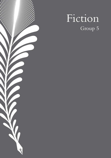# $\sqrt{}$  $\overline{Q}$

# Fiction Group 5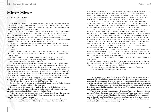# **Mirror Mirror**

*ESF Sha Tin College, Yu, Vivian - 17*

In Shazhou, the bustling city center of Dunhuang, was an antique shop tucked in a corner of the frenetic city's heart. Passers-by typically took little notice of its unassuming storefront. Only visitors of a particular disposition, possessing discerning taste and often wealthy, would push open the double-doors of Yuehai Antiques.

Yuehai Antiques' location in Dunhuang meant that its proximity to the Mogao Grottoes served as a backdrop of intrigue for the antiquities displayed within, even if few items were actually treasures looted from the caves. All manner of curiosities were displayed - scrolls looted from the Library Cave, ceramics once used by eminent figures including emperors, poets, Peking opera singers, even a wooden stool that had supposedly once been graced by the buttocks of Marco Polo when he stopped at Mogao on the Silk Road.

One evening, a young man was keenly examining the wares displayed under the warm lantern-light. He heard a voice from behind him, and turned to see a woman who now stood next to him.

### "May I help you?"

Ouyang Yuzhui, the owner of Yuehai Antiques, was a well-known figure in collector's circles. She had inherited the store from her father and prided herself on being an archivist beyond compare.

The young man, dressed in a Western-style overcoat, pushed up his glasses before pointing to the bronze mirror he had been studying prior. He said with a polite smile,

'I'm rather fascinated by this exquisite counterfeit.'

In a nation whose people relied on commerce and artisanship for their livelihood, this was no statement to be taken lightly. It was a threat to Yuzhui's scrupulous collection of antiquities, for it implied that she had erred. This particular bronze mirror was one of the few artifacts that did hail from the Mogao Grottoes, a fascinating 'magic mirror' that behaved as though it were transparent. A British researcher had sold the mirror to her father decades after it had supposedly been taken from Mogao by explorers in the nineteenth century. Her father had haggled relentlessly to acquire the mirror, which he identified as being from the early Yuan period. This young man's accusation was a direct attack on Yuehai Antiques' reputation as connoisseurs of quality and an offense to Yuzhui's father's memory.

"Oh? What makes you so sure it's counterfeit?" challenged the owner.

She knew there was only one way to save face and salvage the esteem of Yuehai Antiques; she must find a way to sell this mirror to the young man.

The mirror was of fine make, with an intricate design of the Eight Legions cast in a wheel design on the back of the circular mirror. A gleaming red jade bead sat in the center, attached to a gold tassel that had been restored by Yuzhui's father.

"Miss, may I ask that you demonstrate the mirror's 'magic' for me?' asked the young man. Yuzhui narrowed her eyes but complied, pulling on a pair of gloves and carefully removing the mirror from the glass case.

The mirror's 'magic' was that when a light was shone onto its surface, the decorative patterns on the back of the mirror would be projected out of the reflective side. This

matched the patterns on the back and projected the whole image when brightly lit. Indeed, now that Yuzhui pointed a torch at the mirror, the fierce, penetrating images of the Eight Legions were projected onto the wall; Asura, the three-headed, four-armed demigod, Naga, the half-snake half-human, to name a few. The mirror itself was palm-sized, but the illusion projected was currently magnified to more than a meter wide.

"Herein lies exactly why this mirror is a counterfeit. The Yuan Dynasty to which this mirror is dated was a period of political turmoil. Naturally, every court was infested with spies. During this period such mirrors were often used to convey secret messages. Words were etched into the reflective side so that, along with the back design, messages would be revealed when a light was shone onto them. Because these messages were absent on the back design, no suspicion would be raised. So, such mirrors were generally cheaply made. This tassel,' he continued, pointing to the red jade bead upon which hung the gold tuft, 'is a contemporary addition. Jade would have been too valuable for one-use secret message mirrors, no?"

"That is an unfounded generalization," said Yuzhui. "This mirror contains no secret message - by all accounts, it was owned by nobility, for whom…"

But even as she spoke she realized the answer. She had been about to say that a rich person might have owned a mirror with a jade bead. However, in the Yuan Dynasty, glass mirrors were being imported from the West, and mirrors for daily use by aristocrats who could afford jade would have been fashionable glass ones, not bronze.

"As a historian yourself, I'm sure you realize this discrepancy," said the young man with a genial smile.

The store-owner stood a little straighter. "This is where you are wrong. While that may have been the case in the capital, this mirror is from the Mogao Grottoes, not the royal court. There is a very good reason there is a tassel on the back."

"Oh?" said the young man, who held about him an infuriating air of pedantry. Yuzhui narrowed her eyes and began to tell her story.

\*\*\*

Long ago, a weary explorer wandered the deserts of landlocked Gansu in pursuit of greener pastures, for his village had been struck terribly by drought. His star map had led him only to more bleak dunes, stretching as far as the eye could see. Countless days and nights passed under the scorching sun in biting, cloudless air, and still there was no end in sight to the endless barren dunes.

The explorer's tent was pocked with holes from sandstorms, and his water flask was empty. Despairing, once night fell, he collapsed into the pale, shifting sand and wept, but he was so dehydrated that no tears came.

When he looked up, piercing through the velvet black of night was a dim yellow light at the base of a distant dune, akin to the sparkle of a gold coin. With every remaining drop of willpower he had left in his trembling limbs, the explorer drew himself up and continued to traverse the sullen sea of ashes. The golden sparkle grew brighter as he drew nearer, pulsing and twinkling. Thoughts of treasure, gold hoards or gemstone vaults, crossed the explorer's mind, lending him the strength to keep moving.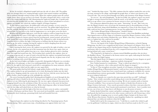At last, he reached a dilapidated temple built into the side of a sheer cliff. The golden glow was stronger than ever, seeping through cracked, dust-matted windows and spilling out in sunbursts through rotting wooden walls. When the explorer pushed open the ruined temple doors, there was no treasure to be found. The glow emerged still, from a crack in the side of the temple built into the cliff, illuminating the neglected temple altar. A gentle push revealed that the wooden wall was false, collapsing in a burst of dust and splinters to reveal a gaping cave mouth, into which the explorer stepped, all fatigue forgotten.

As the explorer went deeper, the golden glow only grew stronger, at every corner he turned, every narrow tunnel and damp cavern he traversed. The golden light bathed him in sun-like warmth, forcing him to squint. He was now convinced that some sort of lucky star awaited him, having fallen to the earth by happenstance to cast its glow across the desert.

Brighter still the golden light grew, such that the explorer could no longer keep his eyes open. Sensing that the source of the light was right around the corner of this next cavern, the explorer produced a bronze mirror from his traveling pack, turned around, and used it to peek around the corner without blinding himself. He continued to walk, facing backwards, using his mirror to follow the light. It had grown so brilliant that the bronze mirror was heating up, the surface warping, forcing the explorer to hold it dangling from the tassel attached to the center to avoid burning his hand.

Upon entering the final cavern, the explorer was greeted by the sight of neither a star nor treasure. As the caves opened up out of the mountains into the desert once again, there sat a magnificent, giant bird, golden from tip to toe, whose feathers glowed in such a dazzling blaze that night had turned into day. The leviathan bird, startled by the explorer, drew its sweeping wings up and, in a gust of wind so forceful that the explorer was pushed backwards, took flight. He watched in awe as the bird soared elegantly into the sky, its glossy train of tail feathers twinkling with a jewel-like glimmer.

As the bird soared higher and higher, its graceful, distinguished silhouette was overtaken by the glow of its plumage, so that it was indistinguishable from a star. The explorer, deeply stirred by the sight he had witnessed, stood still in contemplation for many moments, after the glow had long since faded and the night was once again black.

The giant golden bird had left behind a single golden feather on the floor of the cavern. The explorer picked it up and immediately set to work, fletching the feather into the shaft of an arrow. Stepping outside the cavern exit, he drew his bow with the arrow that bore the golden feather, aimed straight up at the midnight sky, and fired.

The arrow bearing the golden bird's blessing glowed brightly as it arced through the sky, glowing still where it landed in the far, far distance atop a lofty sand-dune. Once more the explorer set out, following the glowing point. He was once again exhausted, but persevered, dragging himself across the arid plains of dust. He was now close to the arrow he had shot, yet saw nothing at the dune it had landed on. With a final desperate effort, he hoisted himself over the last ridge and looked down on what lay beyond.

A lake glimmered with the light of the first rays of dawn across its surface, surrounded by reams of lush grass and dense forest. The oasis stood out beautifully, a gem studded in the inhospitable desert landscape, promising fertile land and bountiful harvests.

### \*\*\*

"Imparted upon the explorer was the feeling described in Tao Yuanming's poem, Peach Blossom Spring: 'After a great many steps, a breathtaking scene appears before one's very

eyes,'" finished the shop-owner. "The fable continues that the explorer marked the oasis on his star map, returned to his village, and brought his people there, to what is now known as the Crescent Lake. The caves he passed through were likely early iterations of the Mogao Grottoes."

"So you see," she said triumphantly, "In this local fable, the explorer's mirror was struck by light so strong it burned his hand to hold the metal, so he held the tassel. This myth was told in an age where it was common for bronze mirrors to have such beaded tassels."

The young man adjusted his glasses once again. "Interesting," he said. "But I raise you this: the Mogao Grottoes were carved into the mountains prior to the proliferation of trade across the Silk Road, along which Buddhism was imported to China in the Han dynasty. Your fable could not have been contemporaneous, because the golden bird in the story is likely-"

"-the Golden-Winged King of Illumination," finished Yuzhui.

"Who is a mythological figure derived from Garuda, a deity from Buddhist mythology. Your legend seems to tell the origin of civilization around the Mogao Grottoes, before which only religious men and scholars inhabited the caves. While a fine story, I must now tell my own, to explain how this could not be possible."

"By all means," said the shop-owner.

"You see, the legend of the Golden-Winged King of Illumination, or Jinchi Dapeng Mingwang, was that it was a magnificent bird of prey who hunted evil dragons. Every day it would eat one dragon-king and five hundred poison-dragons. Eventually, the negative energy and karmic debt it accumulated from the evil it conquered burned it away from the inside, leaving behind only a pure crystal heart."

"The Peng bird is oft depicted as a demon-turned-Buddhist guardian who sits above the Buddha's throne." He pointed to the bronze mirror once again, indicating the bird deity Garuda within the Eight Legions.

"But this legend about evil dragons is not native to Dunhuang, because dragons are good creatures in Chinese mythology - auspicious symbols of prosperity."

Now Yuzhui hummed in consideration. "'Peng' is indeed speculated to be a corruption of 'Feng', or the phoenix, who is often paired with the dragon in imagery."

"Is that so? That strengthens my point. Legends of evil dragons, including those that the Golden-Winged King of Illumination hunted, could not have existed in Dunhuang as early as your myth purports. It must have been created much later, making its credibility for customs surrounding bronze mirrors questionable. Unfortunately, folk legends are often such - they are poor temporal indicators."

"When are legends ever created in the same time period they are told?" challenged Yuzhui. "How would a storyteller sound talking about events that happened last week? Of course the legend is more recent than its setting. We do not examine myths as bastions of factual credibility. I have not proven beyond a shadow of doubt that all mirrors in the Mogao Grottoes had tassels - I have merely presented evidence that there exists precedent for craftsmanship in that style. Your Garuda myth mentioned crystal hearts - here is another story for you, one of my own. I hope that it will illustrate to you the power of stories."

Yuzhui ducked behind the counter and pulled a mahogany drawer open, where she kept small goods that had been reserved or for other reasons could not be sold. Removing a velvet box, she pulled the wrappings away to reveal a golden filigree hairpin in the buyao style of the Western Han dynasty. Nestled in azure kingfisher feathers lay a sparkling ten-sided diamond that cast iridescent rainbows when hit by light.

Yuzhui held it up for the young man to see. "I sold this to a youth who wished to gift it to his girlfriend. I told him its origin, which was that it had been made in the 60's as an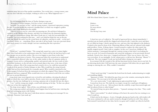imitation prop, but was of fine quality nonetheless. Two weeks later, a young woman came into my store with this very hairpin, wishing to sell it to me. What happened was—'

\*\*\*

The bell hanging from the door of Yuehai Antiques rang out.

"Welcome to Yuehai Antiques. Feel free to have a look around."

"Actually, I'm not here to buy," said the young woman, a harrowed expression crossing her face. From her pocket she removed a handkerchief, in which was wrapped a golden hairpin with a large diamond in the middle.

"This was given to me by a man who was pursuing me. He said that it belonged to a princess of the Western Han dynasty, and that if we looked into the diamond together, we might see extraordinary things. But when I look into it, I only feel uncomfortable. It's beautiful, but I feel nothing for that man… and I can't help but think the rust on the pin looks like blood. He said it was the crystal heart of a phoenix, and that it could… reveal one's true heart's desire, or… something. Please, just take it off my hands. I am not concerned about how much money it is worth, though I am sure something like this is priceless."

\*\*\*

"It was not," concluded Yuzhui. "The young lady named me a price ten times higher than what I had sold it to her unfortunate suitor for. I had to tell her she had been lied to and that this pin was no priceless artifact. She was even happier to part from it after that."

Herein was the power of stories. This young man before her seemed not to understand that a counterfeit's physical value was, in fact, quite similar to that of a genuine artifact it imitated. Factors such as craftsmanship, quality, and material aside, the true worth of relics lay in their backstory, in the tall tales woven around objects that were, at the time of their creation, ordinary. Else if the young man had a mind to do so, he could have ground the worth of all the goods in Yuehai Antiques to dust. Who would buy the string of pearls if they had not been burial goods for a nomadic queen? Who would be interested in the broken guqin if it had not been the instrument on which the original Three Stanzas on Plum Blossoms had been composed? Who would look twice at the tattered scroll if the text within was not in ancient Khotanese?

Long-dead, time-worn legends were revived by oral tradition, elevating the physical husks in which they were held to priceless. Exotic curios were easy and cheap enough to produce, but the true challenge lay in weaving a spurious tale to breathe life into the object.

"I see," said the young man simply, a small smile playing on his lips. "In that case, please allow me to buy this exquisite fake."

The shop owner sighed. "After all this, you still think it is fake?"

The young man smiled, and indeed seemed happier than he had been since entering the shop and exchanging stories with Yuzhui.

"Of course. After all, that story I told about mirrors containing secret messages? It was nonsense. Nonsense I just made up."

# **Mind Palace**

*ESF West Island School, Eyunni, Gayathri - 16*

*Darkness. I want to run, Far away wherein Solitude. One blessing I may count.*

\*\*\*

I closed my eyes as I walked in. The smell of agarwood hit me almost immediately. I stretched out my hands and felt the chipped and textured walls. I tasted the sweet and dusty air as it filled my lungs. I slowly opened my eyes, and once they had adjusted to the darkness, I looked at the mural in front of me. Fluttering ribbons of blue and red, adorned with simple gold jewellery. *Feitian.* A flying *Apsara.* I turned around to explore the other mural, but quickly stopped myself. I had a task to complete. In this cave I stored my childhood. My earliest moments. I rummaged through the contents trying to find what I was looking for, but to no avail. As I stood in frustration and cursed the inadequacy of my previously devised methods, I heard a low, deep voice. I stopped and listened. There was no source, the voice was everywhere. It was intangible. As the volume grew, so did my fear. Brewing. "Mama?" I called out. The voice stopped. I took one last look before closing my eyes again.

In an instant I felt the warmth of the old but functional electric heater next to my bed. As my shivering slowly died, I fell back into the same irritation I felt before this yet again futile attempt at entering the cave. Why couldn't I remember?

\*\*\*

"I don't need your help." I snatched the book from his hands, underestimating its weight and stumbling slightly.

"Ignorance is fickle." He shifted his gaze from me to the window, mirroring the shift in conversation. "Do you want to be left in the dark?"

"It's a new moon today." I said, tightening my grip around the book.

I turned my focus too. The dark sky was empty, except for a small spot of brightness.

"Venus," he said, as if on cue. "did you know that she could fly, escape from mortal sight and shift her physical form to other beings?"

"If a mortal being was given these powers…" I paused, turning to face him. "They could escape death."

"How's your mother?" he asked, looking as if he knew the answer but was waiting to see what I would say.

A bird cried in the distance. *A raven,* I thought, placing my hand on the cold window sill. The raven continued to call out, until it seemed as though it had lost its will. Once silence had resumed I turned back to face him, but he was gone and I couldn't say when he had left.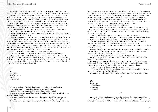Most people choose their house as their locus. But the obscurity of my childhood created a murky medium to dwell in doubt. I needed to see. The agony of a lost memory blocks all reason to a point of madness. I could not stay here. I had to find an outlet; a clear path where I could organise my thoughts. So I chose the Mogao grottoes or caves. I remember my first visit. At first I found them almost boring. Hours of staring at paintings, carvings and murals. But slowly I started to lose myself. I divulged into the beauty of the area. I felt as though I had received a glimpse of the diversity of cultures that had bestowed their creations here. "This is a special place." my mother told me, as we walked out of the final cave. "It shows us evidence of the evolution of Buddhist art, and thereby, the evolution of Buddhism itself." She looked as if in a trance.

I wasn't really listening. I was preoccupied by something else. "Mama, who's this?" I asked, pointing to a tall statue of which one of the hands was broken.

"Do you remember the statue that was cross-legged in the last cave?" she asked. I nodded. "It's the same person here." she said.

"How come they look different if it's the same person?" I asked, picturing the previous statue.

"The last statue was built at a time when the nomadic Xiongnu people from the north were in control of the area. You can see their artistic influence, as the statue is sitting crosslegged, which was not traditional at the time." She paused to make sure I was listening. "This statue," she continued, pointing to the statue in front of us, "dates to the Tang dynasty. At that time, the statues started to show more characteristics of the Chinese style. The plump faces are full of expression. Do you see that?" She turned to face me now.

I stared in wonder at her vast knowledge. "Who does the statue depict?"

"Maitreya," she answered. "He will come in the future and teach pure Dharma."

Dharma. I had heard that word enough times to understand what it meant. The caves were filled with symbols of Dharma. Of righteousness. The caves would be my place. I had made up my mind that day. I started building. I started with *id* - the primitive and instinctual part which contained hidden memories. Then *superego* - the moral conscience. And finally *ego* - the realistic mediator between the other two.

\*\*\*

*Rays. Not of hope, But of satisfaction, Simplicity, I start to doubt.*

\*\*\*

"Oolong or Earl Grey?" I asked, dangling the two tea bags in front of his face. "You need closure." he said, taking the Earl Grey from my hand.

I laughed. "Have you been reading up online about PTSD?" I joked.

He wore an expression of careful guilt. I shook my head. "How can I have PTSD, when nothing even happened?"

He shrugged again. "You're the only person that isn't convinced." He looked at me challengingly. "And how come you don't remember? You never forget anything."

That was true. I had, as people would say, an "eidetic memory". Photographic even. My

brain had a one way entry, nothing ever left it. But I had closed that gateway. We both sat in silence for a few minutes while he steeped the Earl Grey, reminiscing about those young years when I would do memory tricks for fun, harnessing the talents of my brain that others only dreamt of possessing. But those days were long gone. It was like I had closed that chapter. I looked up at the old wooden clock hanging solemnly on the wall. I hated those devious hands, which would only move in one direction. *The arrow of time.* In space you could move backwards and anti-clockwise, to undo your actions. In time you couldn't.

"Maybe it's time to visit your caves again." he whispered.

I poured myself a cup of tea. I took a sip. The bitter-sweetness of bergamot coated my tongue, the warmth trickling down my throat. I felt the ice that had frozen my mind slowly melt. "Too much sugar." I said finally, as he always sweetened his tea. "I prefer the Oolong. It's a tea fit for an empress."

"Did the empress have a good memory too?" He wasn't going to give up.

I laughed a little and placed my cup on the table, trying not to make a sound as the delicate porcelain touched the fragile glass. "I can't get into the caves." I sighed. "I forgot how."

This was a lie. I had actually already gone once, but only to one cave for just a few minutes, and I didn't want to feed his idea about my supposed mental illness.

"What about the book?" He tilted his head towards the windowsill, where the huge book waited to be opened.

I shrugged, tugging at the strings of my jacket to tighten the hood. A brisk, icy wind had filled the room. I could hear the rustling of the leaves on the chrysanthemum plants in the balcony. "Why did you plant chrysanthemums?" I asked.

"I don't know," he said unenthusiastically. "they looked nice I guess."

I could see he was irritated with the change in topic. "They're a symbol of death you know." I looked at him intently.

He frowned at my statement, but looked anxious for me to answer his previous question. I didn't really feel bad though. I wasn't in the mood to have this predictable conversation.

"You could grow lilac ones." I said, walking precariously towards the balcony.

"Answer my question." he said, growing increasingly impatient.

"I don't know." I said, picking up a yellow chrysanthemum that had fallen on the floor. "I'm going to visit my mother." I said finally.

He frowned but didn't say anything, and as I left the room, I wondered why he didn't.

\*\*\*

*How In this world, Of imperfections, Unforgiving. Can I stand?*

\*\*\*

I remember the day vividly. I was sitting on the cold, stone floor of our humble living room, reading *Great Expectations.* I had already read it before. I was reading it again not out of interest, but out of boredom. I felt a sense of comfort in the fact that I knew what was going to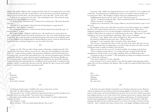happen. My mother walked in after coming back from work. It was strange but she never told me what her job was; only that it required her to visit many houses and work for long hours. "I told you not to sit on the floor," she said, placing her coat on the table, "You'll catch a cold."

I rolled my eyes and moved to the sofa. "I got something for you." She removed a large book from her bag and placed it on my lap.

*The Method of Loci.* "A maths book?" I looked at her and frowned. "We learnt about this years ago."

"Not that loci!" she laughed, taking the book and opening it to a page she had bookmarked. "It's a memory technique."

My ears instantly sharpened. I took the book from her hands and scanned the page. "A memory palace?" I asked.

My mother nodded. "Might be useful for you." She handed me my sweater from the floor. A pretty pink woollen one that she had knit for me a few years earlier. Knitting was her secret talent. She would spend the weekends knitting hats and sweaters and would give them to all the children in the neighbourhood, taking nothing in return. I took my jacket from her hands reluctantly, and slowly slipped it on, my eyes still on the book.

### \*\*\*

I was in cave 158. This was where I kept sensitive information, mainly passwords. This cave was one of the finest *Nirvana* caves at the site, where the *Nirvana Buddha* was the theme of the cave. I observed him carefully. The great prince Siddartha, who had all the pleasures and riches of life. I pictured the heart shaped leaves, the outward reaching branches and thick trunk of the Bodhi tree, under which he gained enlightenment. The Nirvana Buddha was in a reclining posture, different from the lying posture adopted by the dead of the mundane world, indicating that attaining Nirvana was different from normal death. I wondered at that moment, whether I would attain Nirvana in this life. Would I be able to let go of all worldly desires? Could I detach myself from attachment itself?

\*\*\*

*If Mercilessly, I am thrown, Broken, By the devil's command.*

\*\*\*

"I visited my mother again." I fiddled with a loose string of my sweater.

"You did?" he asked, looking at me with suspicion.

"She gave this to me." I took a small brown paper pouch from my pocket and placed it in his hand, which was cold and stiff. "You need to start wearing gloves."

He smirked and carefully opened the pouch. "Money plant?" he asked, emptying the seeds into his hand.

*"Ficus Religiosa."* I said.

Ah. he mouthed. "Did your mother physically give this to you?"

I frowned. "She couldn't have figuratively given it to me could she?" I was confused and a little hurt. This phenomenon of doubting my stories of encounters with my mother was occurring more often. "She thought I could do with some enlightenment in my life."

"Enlightenment doesn't come by itself," he said. "You have to gain it."

"I know." I wanted to change the topic. "Have you planted the lilac chrysanthemums yet?" "Where's the space?" he laughed.

I walked over to the balcony. I felt a sharp coldness as my bare feet left the carpet "Can I take one?"

He shrugged. I chose a pot with white ones. Just as I was about to pick it up, I suddenly felt dizzy. The world swirled around me as a vision entered my mind. "White dress…" I whispered, gasping for air. For a second I thought I would faint, but after a few seconds I stabilised. I had a pit in my stomach as I walked back into the room. "White dress?" he asked, studying my face as he was looking for something. "Were you at a wedding?"

"A funeral." I said. "White is the colour of death for us. We wear red at weddings." He seemed to suddenly become more alert. "Whose funeral?"

I shrugged. "I can't remember. But I remember all the other details."

This was true. I remember the silent car ride, my uncle at the wheel. My sister was too young to understand what was happening, so we had to make up some story. But even after racking my brains I couldn't remember who had died.

"Have you been into the caves yet?" he asked carefully, not wanting to tip the boat. "There's nothing wrong with me." I was angry this time, but deep inside I felt that

something was indeed wrong. I never forgot anything, what was different about this?

"I'm going to talk to my mother." I said, picking up my things and walking towards the door. "Maybe she will know."

"You may be surprised," he said cryptically.

In the moment I was too preoccupied to react. But that night it kept haunting me like a stalker that was always lurking in the shadows. Why would I be surprised? What did he know that I didn't?

\*\*\*

*Tears. Not of sadness, Of fatigue, Abandoned. My search decays.*

\*\*\*

I closed my eyes again. Slowly I entered the cave I had been reluctant to enter. Beads of cold sweat appeared on my forehead, my knees shaking slightly as I opened my eyes. I didn't want to come to this cave because I had lost my memory of it. It was as if a chunk of my palace had collapsed and now it was a void. I knew of its existence but not of its contents. Many times in the past I had tried to enter this cave, but something would stop me. As I looked around, I tried to find something that could possibly trigger my memory. The first three walls had paintings that didn't stir any recollection. Just as I was about to lose hope, I turned to the last wall and… there. I looked at the statue in front of me, cross-legged, intelligent and peaceful,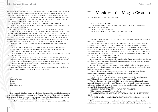and remembered my mothers explanation many years ago. This was the last cave I had visited with my mother. *Maitreya. He will come in the future and teach pure Dharma.* Suddenly the floodgates of my memory opened. This is the cave where I stored everything related to her. But why had I forgotten about it? Suddenly in the shadows I noticed a figure slowly walking towards me. I recognised the long, straight hair, the small stature and the distinctive pointed nose. "Mama?" I stood in confusion. "What are you doing here?"

"I've been here for many years," she said softly. "And you've been visiting me."

I stood in bewilderment. The reality of my world had just disintegrated into chaos. "Do you not remember?" she asked.

The words were already ingrained in my head. "I came here looking for answers."

In that moment it occurred to me that I couldn't have completely forgotten some memories, there was a reason my instinct brought me to this particular cave. A part of me must have held onto the memory. Entropy. The chaos could only increase, not decrease. I realised now that it was always there, just lost in the maze of the caves. But it was broken into fragments that were waiting to be put back together. I looked around and watched as the pieces slowly assembled. *The white dress.* Now I remembered. "Did you plant the fig tree?" my mother asked.

I nodded but was distracted. "How come I don't remember coming here?" I asked in frustration.

"You were living in the moment." my mother answered, her eyes soft and gentle.

It was as if the frustration that radiated from me melted as it touched my mother.

"I was living a lie." I seethed. "Why didn't you ever tell me?"

"You weren't living a lie." she walked closer to me and placed my hand in hers. "You just hadn't accepted the truth yet."

Hot, angry tears rolled down my face. Slowly, that anger turned into sweet sadness. I held my mother, not wanting to let go. "Maitreya." she said once my tears had seized. "He is here."

"I thought he would come in the future." I said, looking up at the statue.

"These are *your* caves, *your* locus." She put a warm hand on my tear stained cheek. "The higher power exists eternally in our minds."

I must have fallen asleep in my mother's arms. When I woke up I found myself back in the comfort of my bedroom, with a raven feather in my hand.

\*\*\*

*One. Element of surprise, To lighten, Brighten, These tedious days.*

### \*\*\*

That evening I visited the memorial hall. I wore the same white dress I had worn twenty years ago. As I knelt down, I closed my eyes. *Samsara.* The cycle of birth, death and rebirth. To free our souls from this cycle we had to attain Nirvana. I spoke to Maitreya that day. He sat in front of me, cross-legged, and suddenly my doubts dissolved.

Instead of white chrysanthemums, I offered fig leaves. My mother had attained Nirvana.

# **The Monk and the Mogao Grottoes**

*Po Leung Kuk Choi Kai Yau School, Lam, Errin - 17*

### *WHAT IS YOUR PURPOSE?*

"I had a vision of these caves," The monk laid a hand on the wall. "Of a thousand Buddhas swathed in golden light."

*THERE IS NO BUDDHA HERE.*

"There is not." Said the monk thoughtfully. "But there could be."

\*\*\*

The monk's name was Yue Zun. *Yue* meant joy, and *Zun* meant nobility, and the cave had never seen a human like him.

The travellers that passed through were few and far between. The cave gave them the shelter they sought, tucking them into its nooks, standing resolutely against the lashing winds and the seething sands. Because what was a passing storm? It had calmly watched seas rise and skies fall and the land freeze over and burn anew, and it was unscathed but for the slow weathering away of the stone. A thousand years and more it had stood, patiently allowing the wind to scrape and scratch and slice with tiny grains of sand that threw themselves over and over against the rock, steadily hollowing it out.

The cave did not mind. That was nature.

Humans did not stay long. Most simply wanted a shelter for the night, and the cave did not fault them for that. It understood the primal, animalistic instinct for survival. It was practical.

Yue Zun's decision to stay was not.

He was a devout Buddhist. Over his yellow *zhiduo,* which pooled on the ground now as he knelt, he wore a dark *kesa* that wrapped around his left shoulder. A string of wooden mala beads was looped around his wrist.

The cave did not expect him to be there when the sun warmed the stone the next morning. But he was awake at first light, and already moving with purpose.

*WHAT ARE YOU DOING?*

"I shall make this a place of worship. This is a beautiful place, and there is beauty in faith." The monk was mixing water into dry dyes. "Have faith, friend."

The cave did not move, but the sands shifted in its wake, grains swirling gently on the ground. It did not consider itself a beautiful place; it was but a splotch of slate grey against a dull, barren landscape. It understood the state of existing. It understood the real, the material, the tangible. It did not understand faith.

*GO HOME, CHILD. THERE IS NOTHING FOR YOU HERE.*

"There is always something if one is looking."

*YOU SEEK YOUR GOD. YOU CANNOT FIND A GOD IN AN EMPTY STONE CAVE.*

"My God is anywhere I look for Him," replied Yue Zun. "He is wherever I pass on His teachings."

Hours later the monk stepped back from the wall, setting the brush down. Buddha smiled down now, the paint still wet as the Yue Zun brought his hands together in prayer, the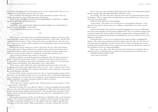beads of his *mala* slipping between his fingers one by one in a steady rhythm. The cave was soundless save for the gentle scrape of wood over skin.

It was a hundred and eight beads before the monk opened his eyes again. The cave waited, not out of any sense of faith, but respect for the ritual.

*THAT IS BUT A LAYER OF PAINT. IT IS EPHEMERAL. FLEETING. A MERE SANDSTORM WILL EVISCERATE IT.*

"I shall paint more."

*YOU WILL NOT ALWAYS BE THERE TO PAINT MORE. IN A CENTURY IT WILL CRACK AND PEEL AND FADE.*

"Then I had better find someone to be there."

\*\*\*

The next one was Fa Liang. The cave watched in bemused acceptance as the two monks dug shovels into a weaker area of rock, chiselling the stone loose. "Have faith." Said Yue Zun, wiping sweat from his brow. "There will be many more caves like this one, all in their own time. I have seen it." He said, and he sounded so sure of himself that a gust of wind swept like laughter through the cave.

Together they dug an entirely new cavern connected to the cave, and set up burning incense. They prayed. They meditated. One taught the other and the next day the roles of teacher and student would be reversed. Days passed, weeks passed, and more people came. They came slowly, like the trickle of a small brook, and Yue Zun took them all in.

The cave had not had this many visitors in a long time.

Yue Zun taught his new students patiently, preaching his values. He spoke of gods and ghosts, of death and reincarnation, and the cave listened. It did not have much else to do. As the number of people grew, the number of paintings on the walls grew. A few grew into dozens, dozens into hundreds. They dug another cavern. And another.

All that sweat, and for what? The water of their life seeped into the dry air, into the parched ground, and the sands shifted and swirled. The cave - caves? - had never seen a God. It had never seen their Buddha. How strong was this belief, to draw people here in the masses, like moths flocking to the light?

Yet they toiled, and for each person that came, the caves gained another painting of their God. Some were beautiful and some were not, but all were sincere. And when hundreds grew into a thousand, the caves lost count. It was surprised so many people had come, that so many people could believe in a shared concept for which it could see no proof.

### *WHY DO YOU BELIEVE?*

"That is the secret, I think," said the monk. "We do not have to see it to believe it. That is what it means to have faith."

But faith was useless, the caves reflected. Faith was a concept, intangible and untouchable. They erected a God. They praised him and worshipped him. When their skies darkened, they prayed to bequeath false optimism upon themselves. They imagined him in the place of stars, and they liked to think that his light guided them when they were walking blind across the unforgiving desert.

But the pilgrims persisted, and the caves looked upon its inhabitants with a sort of bemused tolerance. The sound of scraping beads became a constant in the low murmur of conversation that drifted contentedly through the caves. They planted crops, the toughest vegetables that could grow in this harsh climate. What resourcefulness, to be able to nurture life even here!

Then a dust storm came and ripped all the plants up by their roots, bashing them against the dusty ground while the pilgrims huddled within the caverns.

"It is alright," Yue Zun said calmly when the storm was over and people looked to him for guidance. "We can regrow them and plant them in a more sheltered area." Once he was alone, the caves spoke again.

*WHY DO YOU WANT TO STAY HERE?*

"Look around." The monk's voice was placid as he rearranged his *mala* beads. "Look what they have built. Look how they are so willing to rebuild and recover. They stay for faith. So do I."

And they did rebuild. They rebuilt and expanded, digging more caverns and filling the grey stone walls with light. Several groups of pilgrims left. The caves wondered vaguely with a stirring of sand if they had gone off to seek better prospects than a life pursuing faith, but then monasteries sprung up around them and although Yue Zun never left the caves, he sent pilgrims to visit them.

Scrolls piled up in caverns, the art and literature all made by people worshipping the religion. They made more paintings and inked scriptures onto the walls. Yue Zun wore an easy smile when he taught the ones who wanted to learn. There were people next to him, teaching and learning in tandem. They wrote poems, they made art, they believed, and every day the golden sun rose on a thousand Buddhas.

There came a time, then, when Yue Zun had to leave. Because he was human. He was ephemeral and he was fleeting and so was that very first painting, but his belief was not.

*I THINK I HAVE FAITH, NOW.*

"That is good, old friend."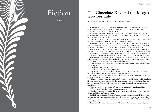# Fiction Group 6

# **The Chocolate Key and the Mogao Grottoes Tale**

*Hong Kong Red Cross John F. Kennedy Centre, Chan, Pang Sang Isaac - 11*

Iszaman was near the city of Mogaozhen zip-lining in the mountains and exploring bamboo forests on his off-road 4-wheeler. Iszaman is a superhero and explorer who can survive in the desert because he has reptile skin.

After a long day of excitement, Iszaman was at a restaurant having a cup of mint tea, chicken kabobs, flat-bread, and roasted chilli. The waiter gave him the bill. He noticed that under the bill was a note that said,

"Help us! In the bathroom, behind the toilet is a box. In the box is something you need to go to the Mogao Caves. Please help us! They're taking everything!"

Iszaman stood up and went quietly to the bathroom. He searched behind the toilet and found an ancient-looking box filled with chocolate! Iszaman took a large piece of chocolate and broke it open. Inside, he found an old key that looked like it was 1500 years old.

Iszaman looked around for a camel. There, 100 metres from him was a group of camels that were wild. He ran up to his favourite one and climbed up on top of the camel and yelled, "Move!"

After a long, hot day of riding, Iszaman and his camel were tired. On the horizon were the ancient Mogao Caves surrounded by desert. He continued to the caves to sleep for the night.

Iszaman woke up in the middle of the night and noticed the camel was gone! Someone had stolen his camel. He noticed another camel with a man holding a knife coming towards him.

"What are you doing here?" asked the dirty looking man.

"I am exploring the Mogao Caves looking for snakes in this area. I am a snake collector," replied Iszaman.

"I will leave tomorrow," promised Iszaman.

"You better leave," warned the wicked man.

The next day, Iszaman was exploring the caves. He found the man stealing the statues, gold, silver and sparkly gems. Iszaman became angry at seeing this.

He turned a secret knob on his belt and yelled, "Power of Snake!" Iszaman turned into a snake and slithered towards the man.

"Oh, my goodness, a six metre, blue snake!" yelled the man. He pulled out his large knife. He tried to stab the snake. Iszaman, the blue snake quickly wrapped himself around the nasty man and squeezes. The man cried and dropped his knife. Iszaman let the man go as he ran away in pain.

"Iszaman, thank you for helping us," said the large, turquoise statue behind him.

"Wow, a statue that talks!" replied Iszaman, surprised.

"You have protected us from the thieves. As a reward, we will allow you to go into the Chamber of Chocolate," said the statue.

Suddenly, the ancient key flew out of his pocket onto the large, stone table. Behind the table was a six metre, wooden door. Iszaman took the key and put the key in the keyhole. Suddenly, the door opened. In front of him, Iszaman saw a cave full of different shapes and sizes of chocolate.

Iszaman ate all the chocolate and he said, "It is tasty". Then Iszaman was full of power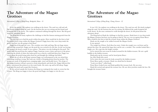*International College of Hong Kong, Bridgeford, Hana - 11*

It was the sunrise. An explorer was walking in the desert. The sand was cold and soft. She slowly trudged along the sand. On the horizon the sun was setting and she found sand footprints left in the desert. The explorer continued walking through the desert. She felt good about the adventure ahead.

The King has set many explorers the challenge to find the famous missing pearls from the Mogao Grottoes.

The race was on to find the pearls within the grotto. How would she be the first to find the golden pearl's deep within the Mogao Grottoes? Poppy knew they were deep inside the grotto but how was she going to find them?

Poppy raced through the caves. The corridors were dark and long. She saw huge statues and carvings around her. Poppy saw the pearl she was excited to be the first. As she was leaving the grottoes she heard a sound. It was a prince. The prince was also looking for the pearl. The prince stole the pearl from the explorer Poppy. Someone wrote a letter and sent it to the prince exposing the details of where the stolen pearl was so that he could find them first. Poppy was scared about the pearls being stolen from her and thought the challenge had failed.

When she set off on the King's mission Poppy was well prepared as she was afraid that something would go wrong. She took out a bottle of sleeping potion from her pocket. The potion was made of sleeping leaves, jumping night, water and deadly leaves. Two drops of this magical potion will put a person to sleep immediately and slowly die. Poppy followed the prince and poured the potion in to his water bottle. He took a sip and he fell asleep. Poppy took back the pearl and escaped the Grottoes.

As she arrived outside the Grottoes the King was waiting for her ready to crown her the winner. The King was happy to have the pearl and Poppy was happy to win the race.

# **The Adventure of the Magao Grottoes**

*International College of Hong Kong, Chung, Karson - 12*

It was 3:30. An explorer was walking in the desert. The sand was soft. He slowly trudged along the sand. On the horizon the sun was setting. He followed the sandy footprint left in the desert. As the man continued to walk through the desert, he felt proud about the adventure ahead.

The King had set Hank the challenge to find the treasure. Hank knew it was deep inside the Mogao Grottoes but how was he going to find it? The race was on against Pirate Bruce. Who would be the first to find the treasure deep within the Mogao Grottoes?

Hank saw the temple as he walked towards the Mogao Grotto. It was opened.

The temple has 8 floors. Each floor has stairs. Under the temple was a red door and he opened the door. He opened the huge door and he saw a corridor. The corridor looked like a bright cave. He crept into the bright corridor.

As he entered the next room he looked around for the hidden treasure. He saw a gold buddha in the hidden treasure.

Hank picks up the treasure and he heard pirate Bruce

Say Aha! Hank felt scared.

As he enters the next room he looks around for the hidden treasure.

Pirate Bruce grabs a treasure. Hank was afraid but he shouted

"Look over there!" yelled hank.

Pirate Bruce looked away and Hank grabbed the treasure back. He ran away.

Hank felt excited and opened the treasure box. He saw silver jewelries inside the box. He brought the treasure home.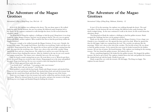*International College of Hong Kong, Law, Wai Lok - 12*

It was 8:30. An explorer was walking in the desert. The sun shone upon it. He walked along the sand. On the horizon, the sun was setting. He followed sandy footprints left in the desert. As the explorer continued to walk through the desert, he felt excited about the adventure ahead.

The King had set Hang the explorer a challenge to find the pearl. Hang knew it was deep inside the empty Mogao Grottoes, but how was he going to find it? The race was on against Hang with Hank, another explorer. Who would be the first to find the pearl deep within the Mogao Grottoes?

Hang saw a temple as he walked towards the Mogao Grottoes. It was scary. Outside, the grottos were empty. The temple had 8 floors. Each floor was terrifying. Under each floor was a red door. Hang opened the door. He opened the red door and he saw light coming from the path. He crept into the terrifying caves. There was a door at the end of the corridor. Hang opened the door and saw a long staircase. He walked on it and he was scared. His legs were tired in distress from climbing the staircase. After he climbed to the top, he saw scary murals and statues around him. The statues were colourful, but scary. He was scared.

Later, he heard a sound coming from an area. He went there to see it. When he got there, he saw the pearl! Hang was excited to take it home. Hang jumped on to the stone and grabbed the pearl. Hang went back up. He was very excited to show the king that he had got it.

Oh no! Hank appeared from under the arches.

"I am finally here!" said Hank. "I am going to take your treasure."

"No, please don't take my treasure!" cried Hang.

Hank grabbed a sword with his bare hands. Hank took Hang's treasure and attacked him. Hang was very mad and furious with Hank. He attacked them back and took his treasure back. Hang took the sword from Hank and sliced him. Hank died. Hang ran out of the Grotto.

Hank was very happy to have his treasure back and he walked lots and lots of miles on his way home. When he returned home he went to the palace and gave the treasure to the King. The King was very happy and thanked Hang for finding the treasure.

# **The Adventure of the Magao Grottoes**

*International College of Hong Kong, Mohinani, Kimberly - 12*

It was 6.30 in the morning. An explorer was walking through the desert. The sand was yellow. On the horizon the sun was setting. He followed some sandy footsteps. He slowly trudged along . As the man continued to walk in the desert, he felt excited about the adventure ahead.

The King had set Hank the explorer a challenge to find the golden treasure. Hank accepted the challenge but how was he going to find it?

Hank saw the dark caves as he walked towards the Mogao Grottoes. It was a huge cave. Outside it was a beautiful cave. He opened the door and it was dark. When he opened the door he felt happy. Light was coming from the roof. The corridor was gloomy like the mornings. THere was a door at the end of the corridor. The bot felt excited. He was about to find the golden treasure. As he entered the next room he looked around for the hidden treasure. He saw lots of statues. He heard footsteps. THe explorer was looking for the missing treasure. The boy found the golden treasure. He looked at the rock.

Oh no, something happened. He looked for the golden treasure. He dropped the golden treasure. He had to get it back! The explorer climbed down the hole and grabbed the treasure. He climbed back up with his hands. Finally he got out.

Hank escaped the cave with the treasure. He felt happy. The King was happy. The explorer became famous!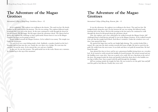*International College of Hong Kong, Overholsen, Kenzo - 12*

It was nighttime. The explorer was walking in the desetre. The sand was hot. He slowly trudged in the sand towards the horizon. The sun was setting. The explorer followed sandy footprints that were left in the desert. As the man continued to walk through the desert he felt sad about it. He felt happy. He felt angry about the adventure ahead. The Queen had set Kenzo the explorer the challenge to find a gold medal. Kenzo knew it was in the Mogao Grottoes but how was he going to find it?

Kenzo walked towards the Mogao Grottoes. As he walked it was sunny. The temple was inside the mountains.

On each level was a man hiding inside a hole. Suddenly, a monkey landed on the boy's shoulder and led him into the cave. Inside the cave there was a bridge. He went into the corridor, ran up the stairs. As he entered the cave and saw a buddha.

In the cave, he saw the treasure. The gold medal was in the rocks. Kenzo saw a monster, he climbed up to the top of the mountain.

# **The Adventure of the Magao Grottoes**

*International College of Hong Kong, Ransom, Jake - 11*

It was the afternoon. An explorer was walking in the desert. The sand was hot. He trudged slowly along the sand. On the horizon the sun was setting. He followed sandy footsteps left in the desert. His feet felt roasting in the hot sand as he continued to walk through the desert he felt proud about the adventure ahead.

Sam, the explorer, met a boy called Jeff as he walked towards the Mogao Grotto. Jeff challenged Sam to find bitcoin and gold. It was in the Mogao Grottoes. As he walked towards it he saw that the temple had 8 floors. Each floor 6 windows. Under the windows was a red door. Sam opened the door.

He opened the huge door and he saw bright light shining. The corridor looked like a tunnel. He crept into the dark corridor towards the beam of light. He had to search for the gold. He walked into the next room. It was dark and there was gold all around him. He had found the gold.

Sam opened the door to leave and he saw a ginormous buddha laying down on a wooden bed. As he started to walk towards the buddha he heard footsteps. He turned around and saw the buddhas were come alive. Sam ran as quick as he could. He saw a big drain at the end of the door. He jumped inside the drain and quickly locked the drain door as the buddha was too big to follow him. Sam escaped with the gold through the drainpipe.

Jeff was waiting outside the temple for Sam. He was excited to see the gold. Sam and Jeff used the gold to buy Bitcoin. Finally they were rich!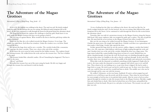*International College of Hong Kong, Tong, Josiah - 12*

It was 6:30. An explorer was walking in the desert. The sand was soft. He slowly trudged along the sand. On the horizon the sun was setting. He followed sandy footprints left in the desert. As the man continued to walk through the desert he felt proud about the adventure ahead.

The King had set Hank the explorer the challenge to find the gold. Hank knew it was deep inside the Mogao Grottoes but how was he going to find it?

The race was on against Marisa. Who would be the first to find the gold deep within the mogao Grottoes?

Hank saw the blue sky as he walked towards the Mogao Grottoes. It was large. The temple has eight floors. Each floor has windows. Under the window was a red door. Hank opened the door.

He opened the huge door and he saw a corridor. The corridor looked like a mountain. He crept into the short corridor. There was a door at the end of the corridor.

As he enters the next room he looks around for the hidden treasure. The explorer found the missing treasure. He walked down the rocks and sees the treasure box. The box is hidden in the snow.

The treasure looked like colourful candies. Oh no! Something has happened. The box is stuck in the snow.

'Oh no!' said Hank.

He pulled the treasure box out of the snow using his hands. He felt very happy and brought the treasure box and shared it with his family.

# **The Adventure of the Magao Grottoes**

*International College of Hong Kong, Vora, Jaanav - 13*

 It was a boiling hot day. Jake was walking in the desert, the sand was like fire, he slowly trudged along the sand. On the horizon, the sun was setting. Jake followed the sandy footprints left in the desert. As he continued to walk through the desert he felt excited about the adventure ahead.

Yesterday, Jake was told of a mysterious treasure in the Mogao Grottoes along the famous Silk Road. Like many explorers, Jake was tempted by gold, god, or glory. The idea of gold hit him. He must find the secret treasure in the Mogao Grottoes but where would it be?

Jake saw the sun rising as he walked towards the Mogao Grottoes. It was humongous. Outside the giant tower, the temple had eight floors. Outside each floor was a ginormous red door under a tiled ledge. Gently, Jake opened the door.

As Jake opened the huge door he saw the narrow, endless, slippery corridor that looked like a cave. He crept into a dark hallway with beams of light seeping through the rocks and sand. Another door was at the end of the corridor. Behind the door was a huge statue. The huge statue looked like a giant buddha lying down in front of a crowd. Behind him was about a hundred people carved into the wall. He heard some air whistling through the gaps. He moved the statue of a buddha to the side so that he could get through. At the end of the corridor, there was a diamond cat statue in the middle of the gold coins and jewels everywhere.

When Jake took the diamond cat suddenly something terrible happened. Right after he took it, the stone under the diamond cat moved a gigantic ball which came to try and kill him. Then whatever he was holding on to, to get away from it slipped. He had to make a huge hole to escape. He tried to get out but he could not get out. So there were three holes, only one could let him out and two would lead him to death. The middle one is the one he went through and he came out with the treasure.

He walked 1 kilometre, on his way home, Suddenly 50 native archers popped up and started to try to kill him to get the jewels and all the treasure. Then when he arrived home he went straight to bed because it was pitched dark outside. After he went to bed an archer tiptoed through his window to take the treasure back to the Mogao Grottoes. But Jake caught him and choked him to death. After that he kicked him out of his house and grabbed the diamond cat from his hands. He put it in a safe place in his house. The treasure was safe and Jake was rich.